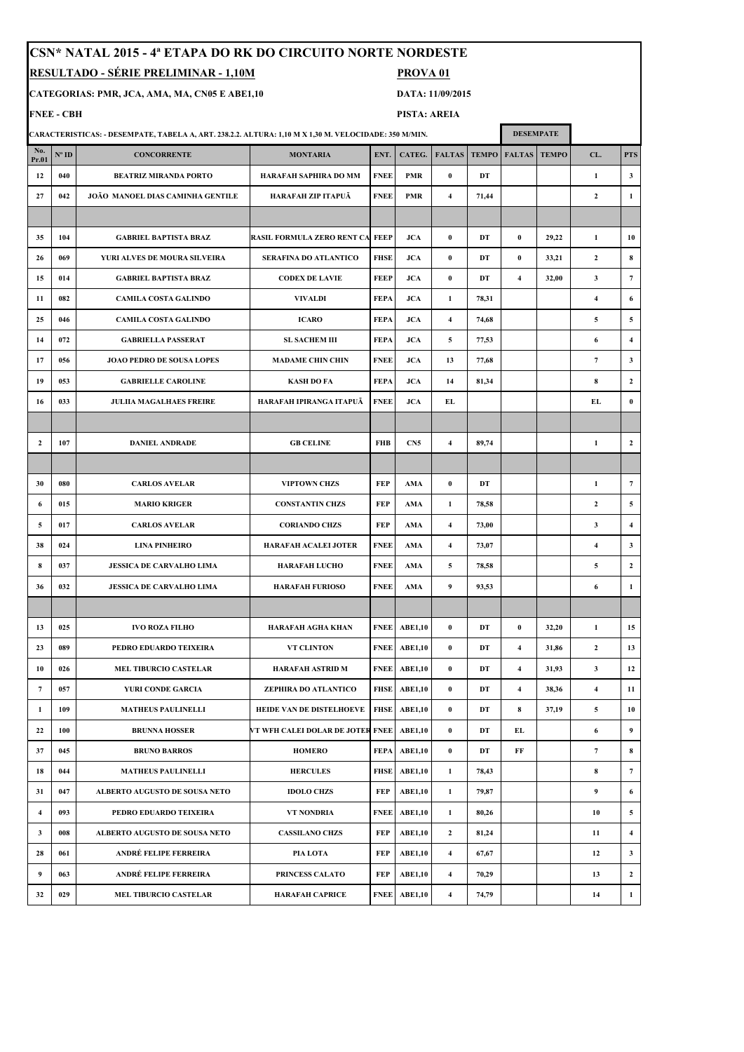|                  |                              | <b>CSN* NATAL 2015 - 4ª ETAPA DO RK DO CIRCUITO NORTE NORDESTE</b>                                    |                                  |             |                     |                         |              |                         |              |                         |                |
|------------------|------------------------------|-------------------------------------------------------------------------------------------------------|----------------------------------|-------------|---------------------|-------------------------|--------------|-------------------------|--------------|-------------------------|----------------|
|                  |                              | <b>RESULTADO - SÉRIE PRELIMINAR - 1,10M</b>                                                           |                                  |             | PROVA <sub>01</sub> |                         |              |                         |              |                         |                |
|                  |                              | CATEGORIAS: PMR, JCA, AMA, MA, CN05 E ABE1,10                                                         |                                  |             |                     | DATA: 11/09/2015        |              |                         |              |                         |                |
|                  | <b>FNEE - CBH</b>            |                                                                                                       |                                  |             | PISTA: AREIA        |                         |              |                         |              |                         |                |
|                  |                              | CARACTERISTICAS: - DESEMPATE, TABELA A, ART. 238.2.2. ALTURA: 1,10 M X 1,30 M. VELOCIDADE: 350 M/MIN. |                                  |             |                     |                         |              | <b>DESEMPATE</b>        |              |                         |                |
| No.<br>Pr.01     | $\mathbf{N}^{\mathrm{o}}$ ID | <b>CONCORRENTE</b>                                                                                    | <b>MONTARIA</b>                  | ENT.        | CATEG.              | <b>FALTAS</b>           | <b>TEMPO</b> | <b>FALTAS</b>           | <b>TEMPO</b> | CL.                     | <b>PTS</b>     |
| 12               | 040                          | <b>BEATRIZ MIRANDA PORTO</b>                                                                          | HARAFAH SAPHIRA DO MM            | <b>FNEE</b> | <b>PMR</b>          | $\bf{0}$                | DT           |                         |              | $\mathbf{1}$            | $\mathbf{3}$   |
| 27               | 042                          | JOÃO MANOEL DIAS CAMINHA GENTILE                                                                      | HARAFAH ZIP ITAPUÃ               | <b>FNEE</b> | <b>PMR</b>          | $\overline{4}$          | 71,44        |                         |              | $\boldsymbol{2}$        | $\mathbf{1}$   |
|                  |                              |                                                                                                       |                                  |             |                     |                         |              |                         |              |                         |                |
| 35               | 104                          | <b>GABRIEL BAPTISTA BRAZ</b>                                                                          | RASIL FORMULA ZERO RENT CA FEEP  |             | <b>JCA</b>          | $\bf{0}$                | DT           | $\bf{0}$                | 29,22        | $\mathbf{1}$            | 10             |
| 26               | 069                          | YURI ALVES DE MOURA SILVEIRA                                                                          | SERAFINA DO ATLANTICO            | <b>FHSE</b> | <b>JCA</b>          | $\bf{0}$                | DT           | $\bf{0}$                | 33,21        | $\overline{2}$          | 8              |
| 15               | 014                          | <b>GABRIEL BAPTISTA BRAZ</b>                                                                          | <b>CODEX DE LAVIE</b>            | <b>FEEP</b> | <b>JCA</b>          | $\bf{0}$                | DT           | $\overline{\mathbf{4}}$ | 32,00        | 3                       | $\overline{7}$ |
| 11               | 082                          | <b>CAMILA COSTA GALINDO</b>                                                                           | <b>VIVALDI</b>                   | <b>FEPA</b> | <b>JCA</b>          | 1                       | 78,31        |                         |              | $\overline{\mathbf{4}}$ | 6              |
| 25               | 046                          | <b>CAMILA COSTA GALINDO</b>                                                                           | <b>ICARO</b>                     | <b>FEPA</b> | <b>JCA</b>          | $\overline{4}$          | 74,68        |                         |              | 5                       | 5              |
| 14               | 072                          | <b>GABRIELLA PASSERAT</b>                                                                             | <b>SL SACHEM III</b>             | <b>FEPA</b> | <b>JCA</b>          | 5                       | 77,53        |                         |              | 6                       | $\overline{4}$ |
| 17               | 056                          | JOAO PEDRO DE SOUSA LOPES                                                                             | <b>MADAME CHIN CHIN</b>          | <b>FNEE</b> | <b>JCA</b>          | 13                      | 77,68        |                         |              | $\overline{7}$          | $\mathbf{3}$   |
| 19               | 053                          | <b>GABRIELLE CAROLINE</b>                                                                             | <b>KASH DO FA</b>                | <b>FEPA</b> | <b>JCA</b>          | 14                      | 81,34        |                         |              | 8                       | $\mathbf{2}$   |
| 16               | 033                          | <b>JULIIA MAGALHAES FREIRE</b>                                                                        | HARAFAH IPIRANGA ITAPUÃ          | <b>FNEE</b> | <b>JCA</b>          | EL                      |              |                         |              | EL                      | $\bf{0}$       |
|                  |                              |                                                                                                       |                                  |             |                     |                         |              |                         |              |                         |                |
| $\mathbf{2}$     | 107                          | <b>DANIEL ANDRADE</b>                                                                                 | <b>GB CELINE</b>                 | <b>FHB</b>  | CN5                 | $\overline{4}$          | 89,74        |                         |              | $\mathbf{1}$            | $\mathbf{2}$   |
|                  |                              |                                                                                                       |                                  |             |                     |                         |              |                         |              |                         |                |
| 30               | 080                          | <b>CARLOS AVELAR</b>                                                                                  | <b>VIPTOWN CHZS</b>              | <b>FEP</b>  | AMA                 | $\bf{0}$                | DT           |                         |              | $\mathbf 1$             | $\overline{7}$ |
| 6                | 015                          | <b>MARIO KRIGER</b>                                                                                   | <b>CONSTANTIN CHZS</b>           | FEP         | AMA                 | 1                       | 78,58        |                         |              | $\boldsymbol{2}$        | 5              |
| 5                | 017                          | <b>CARLOS AVELAR</b>                                                                                  | <b>CORIANDO CHZS</b>             | FEP         | AMA                 | $\overline{4}$          | 73,00        |                         |              | 3                       | $\overline{4}$ |
| 38               | 024                          | <b>LINA PINHEIRO</b>                                                                                  | <b>HARAFAH ACALEI JOTER</b>      | <b>FNEE</b> | AMA                 | $\overline{4}$          | 73,07        |                         |              | $\overline{\mathbf{4}}$ | $\mathbf{3}$   |
| 8                | 037                          | <b>JESSICA DE CARVALHO LIMA</b>                                                                       | <b>HARAFAH LUCHO</b>             | <b>FNEE</b> | AMA                 | 5                       | 78,58        |                         |              | 5                       | $\mathbf{2}$   |
| 36               | 032                          | <b>JESSICA DE CARVALHO LIMA</b>                                                                       | <b>HARAFAH FURIOSO</b>           | <b>FNEE</b> | AMA                 | 9                       | 93,53        |                         |              | 6                       | $\mathbf{1}$   |
|                  |                              |                                                                                                       |                                  |             |                     |                         |              |                         |              |                         |                |
| 13               | 025                          | <b>IVO ROZA FILHO</b>                                                                                 | <b>HARAFAH AGHA KHAN</b>         | <b>FNEE</b> | <b>ABE1,10</b>      | $\bf{0}$                | DT           | $\bf{0}$                | 32,20        | $\mathbf{1}$            | 15             |
| 23               | 089                          | PEDRO EDUARDO TEIXEIRA                                                                                | <b>VT CLINTON</b>                | <b>FNEE</b> | <b>ABE1,10</b>      | $\bf{0}$                | DT           | $\overline{\mathbf{4}}$ | 31,86        | $\mathbf{2}$            | 13             |
| 10               | 026                          | <b>MEL TIBURCIO CASTELAR</b>                                                                          | <b>HARAFAH ASTRID M</b>          | <b>FNEE</b> | <b>ABE1,10</b>      | $\bf{0}$                | DT           | $\overline{4}$          | 31,93        | 3                       | 12             |
| $\overline{7}$   | 057                          | YURI CONDE GARCIA                                                                                     | ZEPHIRA DO ATLANTICO             | <b>FHSE</b> | <b>ABE1.10</b>      | $\bf{0}$                | DT           | $\overline{\mathbf{4}}$ | 38,36        | $\overline{\mathbf{4}}$ | 11             |
| 1                | 109                          | <b>MATHEUS PAULINELLI</b>                                                                             | HEIDE VAN DE DISTELHOEVE         | <b>FHSE</b> | <b>ABE1,10</b>      | $\bf{0}$                | DT           | 8                       | 37,19        | 5                       | 10             |
| 22               | 100                          | <b>BRUNNA HOSSER</b>                                                                                  | VT WFH CALEI DOLAR DE JOTER FNEE |             | <b>ABE1.10</b>      | $\bf{0}$                | DT           | EL                      |              | 6                       | 9              |
| 37               | 045                          | <b>BRUNO BARROS</b>                                                                                   | <b>HOMERO</b>                    | <b>FEPA</b> | <b>ABE1,10</b>      | $\bf{0}$                | DT           | FF                      |              | $\overline{7}$          | 8              |
| 18               | 044                          | <b>MATHEUS PAULINELLI</b>                                                                             | <b>HERCULES</b>                  | <b>FHSE</b> | <b>ABE1,10</b>      | $\mathbf{1}$            | 78,43        |                         |              | 8                       | $\overline{7}$ |
| 31               | 047                          | ALBERTO AUGUSTO DE SOUSA NETO                                                                         | <b>IDOLO CHZS</b>                | <b>FEP</b>  | <b>ABE1,10</b>      | 1                       | 79,87        |                         |              | 9                       | 6              |
| $\overline{4}$   | 093                          | PEDRO EDUARDO TEIXEIRA                                                                                | VT NONDRIA                       | <b>FNEE</b> | <b>ABE1,10</b>      | $\mathbf{1}$            | 80,26        |                         |              | 10                      | 5              |
| 3                | 008                          | ALBERTO AUGUSTO DE SOUSA NETO                                                                         | <b>CASSILANO CHZS</b>            | <b>FEP</b>  | <b>ABE1,10</b>      | $\mathbf{2}$            | 81,24        |                         |              | 11                      | $\overline{4}$ |
| 28               | 061                          | ANDRÉ FELIPE FERREIRA                                                                                 | PIA LOTA                         | <b>FEP</b>  | <b>ABE1,10</b>      | $\overline{4}$          | 67,67        |                         |              | 12                      | $\mathbf{3}$   |
| $\boldsymbol{9}$ | 063                          | ANDRÉ FELIPE FERREIRA                                                                                 | PRINCESS CALATO                  | <b>FEP</b>  | <b>ABE1,10</b>      | $\overline{4}$          | 70,29        |                         |              | 13                      | $\mathbf{2}$   |
| 32               | 029                          | <b>MEL TIBURCIO CASTELAR</b>                                                                          | <b>HARAFAH CAPRICE</b>           | <b>FNEE</b> | <b>ABE1,10</b>      | $\overline{\mathbf{4}}$ | 74,79        |                         |              | 14                      | $\mathbf{1}$   |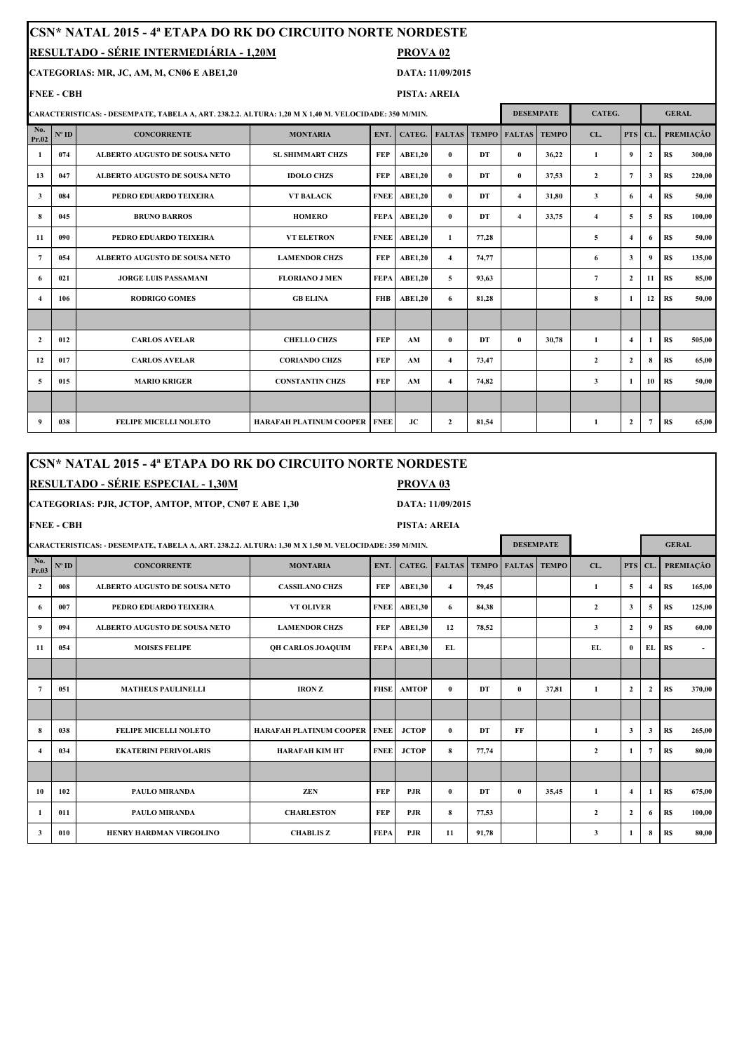|                         | CSN* NATAL 2015 - 4ª ETAPA DO RK DO CIRCUITO NORTE NORDESTE |                                                                                                       |                                     |             |                     |                  |       |                     |              |                         |                         |                |              |                  |
|-------------------------|-------------------------------------------------------------|-------------------------------------------------------------------------------------------------------|-------------------------------------|-------------|---------------------|------------------|-------|---------------------|--------------|-------------------------|-------------------------|----------------|--------------|------------------|
|                         |                                                             | RESULTADO - SÉRIE INTERMEDIÁRIA - 1,20M                                                               |                                     |             | PROVA <sub>02</sub> |                  |       |                     |              |                         |                         |                |              |                  |
|                         |                                                             | CATEGORIAS: MR, JC, AM, M, CN06 E ABE1,20                                                             |                                     |             |                     | DATA: 11/09/2015 |       |                     |              |                         |                         |                |              |                  |
|                         | <b>FNEE - CBH</b>                                           |                                                                                                       |                                     |             | <b>PISTA: AREIA</b> |                  |       |                     |              |                         |                         |                |              |                  |
|                         |                                                             | CARACTERISTICAS: - DESEMPATE, TABELA A, ART. 238.2.2. ALTURA: 1,20 M X 1,40 M. VELOCIDADE: 350 M/MIN. |                                     |             |                     |                  |       | <b>DESEMPATE</b>    |              | CATEG.                  |                         |                | <b>GERAL</b> |                  |
| No.<br>Pr.02            | $N^{\circ}$ ID                                              | <b>CONCORRENTE</b>                                                                                    | <b>MONTARIA</b>                     | ENT.        | CATEG.              | <b>FALTAS</b>    |       | <b>TEMPO FALTAS</b> | <b>TEMPO</b> | CL.                     | PTS CL.                 |                |              | <b>PREMIACÃO</b> |
| 1                       | 074                                                         | <b>ALBERTO AUGUSTO DE SOUSA NETO</b>                                                                  | <b>SL SHIMMART CHZS</b>             | <b>FEP</b>  | <b>ABE1.20</b>      | $\bf{0}$         | DT    | $\bf{0}$            | 36.22        | $\mathbf{1}$            | 9                       | $\mathbf{2}$   | RS           | 300.00           |
| 13                      | 047                                                         | <b>ALBERTO AUGUSTO DE SOUSA NETO</b>                                                                  | <b>IDOLO CHZS</b>                   | FEP         | <b>ABE1,20</b>      | $\bf{0}$         | DT    | $\bf{0}$            | 37,53        | $\overline{2}$          | $\overline{7}$          | 3              | <b>RS</b>    | 220,00           |
| 3                       | 084                                                         | PEDRO EDUARDO TEIXEIRA                                                                                | <b>VT BALACK</b>                    | <b>FNEE</b> | <b>ABE1,20</b>      | $\bf{0}$         | DT    | $\overline{4}$      | 31,80        | 3                       | 6                       | $\overline{4}$ | RS           | 50,00            |
| 8                       | 045                                                         | <b>BRUNO BARROS</b>                                                                                   | <b>HOMERO</b>                       | <b>FEPA</b> | <b>ABE1,20</b>      | $\bf{0}$         | DT    | $\overline{4}$      | 33,75        | $\overline{4}$          | 5                       | 5              | <b>RS</b>    | 100.00           |
| 11                      | 090                                                         | PEDRO EDUARDO TEIXEIRA                                                                                | <b>VT ELETRON</b>                   | <b>FNEE</b> | <b>ABE1,20</b>      | 1                | 77,28 |                     |              | 5                       | $\overline{4}$          | 6              | <b>RS</b>    | 50,00            |
| $\overline{7}$          | 054                                                         | <b>ALBERTO AUGUSTO DE SOUSA NETO</b>                                                                  | <b>LAMENDOR CHZS</b>                | <b>FEP</b>  | <b>ABE1,20</b>      | $\overline{4}$   | 74,77 |                     |              | 6                       | $\overline{\mathbf{3}}$ | 9              | RS           | 135,00           |
| 6                       | 021                                                         | <b>JORGE LUIS PASSAMANI</b>                                                                           | <b>FLORIANO J MEN</b>               | <b>FEPA</b> | <b>ABE1,20</b>      | 5                | 93,63 |                     |              | $\overline{7}$          | $\overline{2}$          | 11             | <b>RS</b>    | 85,00            |
| $\overline{\mathbf{4}}$ | 106                                                         | <b>RODRIGO GOMES</b>                                                                                  | <b>GB ELINA</b>                     | <b>FHB</b>  | <b>ABE1,20</b>      | 6                | 81.28 |                     |              | 8                       | 1                       | 12             | RS           | 50,00            |
|                         |                                                             |                                                                                                       |                                     |             |                     |                  |       |                     |              |                         |                         |                |              |                  |
| $\mathbf{2}$            | 012                                                         | <b>CARLOS AVELAR</b>                                                                                  | <b>CHELLO CHZS</b>                  | <b>FEP</b>  | AM                  | $\bf{0}$         | DT    | $\mathbf{0}$        | 30.78        | 1                       | $\overline{4}$          | 1              | <b>RS</b>    | 505.00           |
| 12                      | 017                                                         | <b>CARLOS AVELAR</b>                                                                                  | <b>CORIANDO CHZS</b>                | <b>FEP</b>  | AM                  | $\overline{4}$   | 73.47 |                     |              | $\overline{2}$          | $\overline{2}$          | 8              | RS           | 65,00            |
| 5                       | 015                                                         | <b>MARIO KRIGER</b><br><b>CONSTANTIN CHZS</b><br><b>FEP</b>                                           |                                     |             |                     | $\overline{4}$   | 74.82 |                     |              | $\overline{\mathbf{3}}$ | $\mathbf{1}$            | 10             | RS           | 50,00            |
|                         |                                                             |                                                                                                       |                                     |             |                     |                  |       |                     |              |                         |                         |                |              |                  |
| 9                       | 038                                                         | <b>FELIPE MICELLI NOLETO</b>                                                                          | <b>HARAFAH PLATINUM COOPER FNEE</b> |             | JС                  | $\mathbf{2}$     | 81.54 |                     |              | 1                       | $\mathbf{2}$            | $\overline{7}$ | <b>RS</b>    | 65,00            |

|                |                              | CSN* NATAL 2015 - 4ª ETAPA DO RK DO CIRCUITO NORTE NORDESTE                                           |                                     |             |                     |                |       |                           |       |                         |                |                |              |           |
|----------------|------------------------------|-------------------------------------------------------------------------------------------------------|-------------------------------------|-------------|---------------------|----------------|-------|---------------------------|-------|-------------------------|----------------|----------------|--------------|-----------|
|                |                              | RESULTADO - SÉRIE ESPECIAL - 1,30M                                                                    |                                     |             | PROVA <sub>03</sub> |                |       |                           |       |                         |                |                |              |           |
|                |                              | CATEGORIAS: PJR, JCTOP, AMTOP, MTOP, CN07 E ABE 1,30                                                  |                                     |             | DATA: 11/09/2015    |                |       |                           |       |                         |                |                |              |           |
|                | <b>FNEE - CBH</b>            |                                                                                                       |                                     |             | PISTA: AREIA        |                |       |                           |       |                         |                |                |              |           |
|                |                              | CARACTERISTICAS: - DESEMPATE, TABELA A, ART. 238.2.2. ALTURA: 1,30 M X 1,50 M. VELOCIDADE: 350 M/MIN. |                                     |             |                     |                |       | <b>DESEMPATE</b>          |       |                         |                |                | <b>GERAL</b> |           |
| No.<br>Pr.03   | $\mathbf{N}^{\mathrm{o}}$ ID | <b>CONCORRENTE</b>                                                                                    | <b>MONTARIA</b>                     | ENT.        |                     | CATEG. FALTAS  |       | <b>TEMPO FALTAS TEMPO</b> |       | CL.                     | PTS CL.        |                |              | PREMIAÇÃO |
| $\overline{2}$ | 008                          | <b>ALBERTO AUGUSTO DE SOUSA NETO</b>                                                                  | <b>CASSILANO CHZS</b>               | <b>FEP</b>  | <b>ABE1,30</b>      | $\overline{4}$ | 79,45 |                           |       | 1                       | 5              | $\overline{4}$ | RS           | 165,00    |
| 6              | 007                          | PEDRO EDUARDO TEIXEIRA                                                                                | <b>VT OLIVER</b>                    |             | FNEE ABE1,30        | 6              | 84,38 |                           |       | $\overline{2}$          | 3              | 5.             | <b>RS</b>    | 125,00    |
| 9              | 094                          | <b>ALBERTO AUGUSTO DE SOUSA NETO</b>                                                                  | <b>LAMENDOR CHZS</b>                | <b>FEP</b>  | <b>ABE1.30</b>      | 12             | 78.52 |                           |       | $\overline{\mathbf{3}}$ | $\mathbf{2}$   | 9              | <b>RS</b>    | 60,00     |
| 11             | 054                          | <b>MOISES FELIPE</b>                                                                                  | <b>OH CARLOS JOAQUIM</b>            | <b>FEPA</b> | <b>ABE1,30</b>      | EL.            |       |                           |       | EL                      | $\mathbf{0}$   | EL             | <b>RS</b>    |           |
|                |                              |                                                                                                       |                                     |             |                     |                |       |                           |       |                         |                |                |              |           |
| $\overline{7}$ | 051                          | <b>MATHEUS PAULINELLI</b>                                                                             | <b>IRON Z</b>                       |             | <b>FHSE AMTOP</b>   | $\bf{0}$       | DT    | $\bf{0}$                  | 37.81 | 1                       | $\mathbf{2}$   | $\overline{2}$ | <b>RS</b>    | 370.00    |
|                |                              |                                                                                                       |                                     |             |                     |                |       |                           |       |                         |                |                |              |           |
| 8              | 038                          | <b>FELIPE MICELLI NOLETO</b>                                                                          | <b>HARAFAH PLATINUM COOPER FNEE</b> |             | <b>JCTOP</b>        | $\bf{0}$       | DT    | FF                        |       | 1                       | $\mathbf{3}$   | $\mathbf{3}$   | <b>RS</b>    | 265,00    |
| $\overline{4}$ | 034                          | <b>EKATERINI PERIVOLARIS</b>                                                                          | <b>HARAFAH KIM HT</b>               | <b>FNEE</b> | <b>JCTOP</b>        | 8              | 77,74 |                           |       | $\overline{2}$          | 1.             | $\overline{7}$ | <b>RS</b>    | 80,00     |
|                |                              |                                                                                                       |                                     |             |                     |                |       |                           |       |                         |                |                |              |           |
| 10             | 102                          | <b>PAULO MIRANDA</b>                                                                                  | <b>ZEN</b>                          | <b>FEP</b>  | PJR                 | $\bf{0}$       | DT    | $\mathbf{0}$              | 35.45 | 1                       | $\overline{4}$ | $\mathbf{1}$   | <b>RS</b>    | 675,00    |
| $\mathbf{1}$   | 011                          | <b>PAULO MIRANDA</b>                                                                                  | <b>CHARLESTON</b>                   | <b>FEP</b>  | P.IR                | 8              | 77.53 |                           |       | $\overline{2}$          | $\mathbf{2}$   | 6              | <b>RS</b>    | 100,00    |
| 3              | 010                          | HENRY HARDMAN VIRGOLINO                                                                               | <b>CHABLIS Z</b>                    | <b>FEPA</b> | P.IR                | 11             | 91.78 |                           |       | 3                       | 1              | 8              | <b>RS</b>    | 80,00     |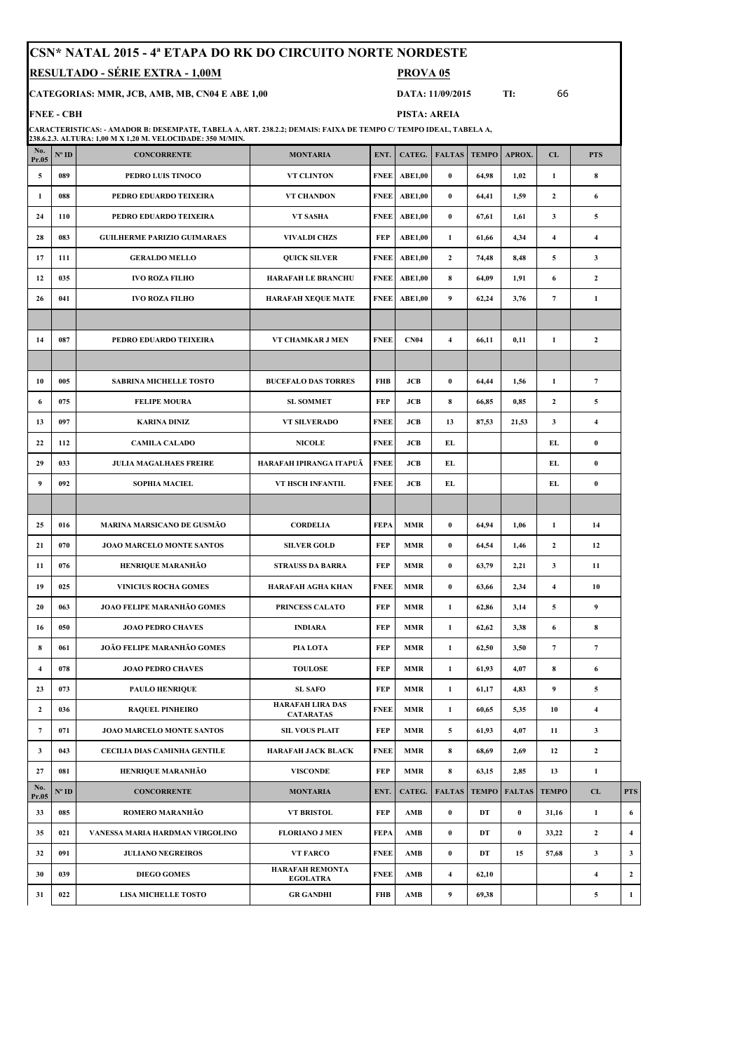|                         | CSN* NATAL 2015 - 4ª ETAPA DO RK DO CIRCUITO NORTE NORDESTE |                                                                                                                                                                                |                                             |             |                  |                 |              |               |                         |                         |                |
|-------------------------|-------------------------------------------------------------|--------------------------------------------------------------------------------------------------------------------------------------------------------------------------------|---------------------------------------------|-------------|------------------|-----------------|--------------|---------------|-------------------------|-------------------------|----------------|
|                         |                                                             | RESULTADO - SÉRIE EXTRA - 1,00M                                                                                                                                                |                                             |             | <b>PROVA 05</b>  |                 |              |               |                         |                         |                |
|                         |                                                             | CATEGORIAS: MMR, JCB, AMB, MB, CN04 E ABE 1,00                                                                                                                                 |                                             |             | DATA: 11/09/2015 |                 |              | TI:           | 66                      |                         |                |
|                         | <b>FNEE - CBH</b>                                           |                                                                                                                                                                                |                                             |             | PISTA: AREIA     |                 |              |               |                         |                         |                |
|                         |                                                             | CARACTERISTICAS: - AMADOR B: DESEMPATE, TABELA A, ART. 238.2.2; DEMAIS: FAIXA DE TEMPO C/ TEMPO IDEAL, TABELA A,<br>238.6.2.3. ALTURA: 1,00 M X 1,20 M. VELOCIDADE: 350 M/MIN. |                                             |             |                  |                 |              |               |                         |                         |                |
| No.<br>Pr.05            | $N^o$ ID                                                    | <b>CONCORRENTE</b>                                                                                                                                                             | <b>MONTARIA</b>                             | ENT.        |                  | CATEG.   FALTAS | <b>TEMPO</b> | APROX.        | CL                      | <b>PTS</b>              |                |
| 5                       | 089                                                         | PEDRO LUIS TINOCO                                                                                                                                                              | <b>VT CLINTON</b>                           | <b>FNEE</b> | <b>ABE1,00</b>   | $\bf{0}$        | 64,98        | 1,02          | $\mathbf{1}$            | 8                       |                |
| 1                       | 088                                                         | PEDRO EDUARDO TEIXEIRA                                                                                                                                                         | VT CHANDON                                  | <b>FNEE</b> | <b>ABE1,00</b>   | $\bf{0}$        | 64,41        | 1,59          | $\overline{2}$          | 6                       |                |
| 24                      | 110                                                         | PEDRO EDUARDO TEIXEIRA                                                                                                                                                         | VT SASHA                                    | <b>FNEE</b> | <b>ABE1,00</b>   | $\bf{0}$        | 67,61        | 1,61          | 3                       | 5                       |                |
| 28                      | 083                                                         | <b>GUILHERME PARIZIO GUIMARAES</b>                                                                                                                                             | <b>VIVALDI CHZS</b>                         | <b>FEP</b>  | <b>ABE1,00</b>   | 1               | 61,66        | 4,34          | $\overline{4}$          | $\overline{4}$          |                |
| 17                      | 111                                                         | <b>GERALDO MELLO</b>                                                                                                                                                           | <b>QUICK SILVER</b>                         | <b>FNEE</b> | <b>ABE1,00</b>   | $\overline{2}$  | 74,48        | 8,48          | 5                       | 3                       |                |
| 12                      | 035                                                         | <b>IVO ROZA FILHO</b>                                                                                                                                                          | <b>HARAFAH LE BRANCHU</b>                   | <b>FNEE</b> | <b>ABE1,00</b>   | 8               | 64,09        | 1,91          | 6                       | $\mathbf{2}$            |                |
| 26                      | 041                                                         | <b>IVO ROZA FILHO</b>                                                                                                                                                          | <b>HARAFAH XEQUE MATE</b>                   | <b>FNEE</b> | <b>ABE1,00</b>   | 9               | 62,24        | 3,76          | $\overline{7}$          | $\mathbf{1}$            |                |
|                         |                                                             |                                                                                                                                                                                |                                             |             |                  |                 |              |               |                         |                         |                |
| 14                      | 087                                                         | PEDRO EDUARDO TEIXEIRA                                                                                                                                                         | VT CHAMKAR J MEN                            | <b>FNEE</b> | <b>CN04</b>      | $\overline{4}$  | 66,11        | 0,11          | 1                       | $\mathbf{2}$            |                |
|                         |                                                             |                                                                                                                                                                                |                                             |             |                  |                 |              |               |                         |                         |                |
| 10                      | 005                                                         | <b>SABRINA MICHELLE TOSTO</b>                                                                                                                                                  | <b>BUCEFALO DAS TORRES</b>                  | <b>FHB</b>  | JCB              | $\bf{0}$        | 64,44        | 1,56          | 1                       | $\overline{7}$          |                |
| 6                       | 075                                                         | <b>FELIPE MOURA</b>                                                                                                                                                            | <b>SL SOMMET</b>                            | <b>FEP</b>  | JCB              | 8               | 66,85        | 0,85          | $\overline{2}$          | 5                       |                |
| 13                      | 097                                                         | <b>KARINA DINIZ</b>                                                                                                                                                            | <b>VT SILVERADO</b>                         | <b>FNEE</b> | JCB              | 13              | 87,53        | 21,53         | 3                       | $\overline{\mathbf{4}}$ |                |
| 22                      | 112                                                         | <b>CAMILA CALADO</b>                                                                                                                                                           | <b>NICOLE</b>                               | <b>FNEE</b> | JCB              | EL              |              |               | EL                      | $\bf{0}$                |                |
| 29                      | 033                                                         | <b>JULIA MAGALHAES FREIRE</b>                                                                                                                                                  | HARAFAH IPIRANGA ITAPUĀ                     | <b>FNEE</b> | JCB              | EL              |              |               | EL                      | $\bf{0}$                |                |
| 9                       | 092                                                         | <b>SOPHIA MACIEL</b>                                                                                                                                                           | VT HSCH INFANTIL                            | <b>FNEE</b> | JCB              | EL              |              |               | EL                      | $\bf{0}$                |                |
|                         |                                                             |                                                                                                                                                                                |                                             |             |                  |                 |              |               |                         |                         |                |
| 25                      | 016                                                         | MARINA MARSICANO DE GUSMÃO                                                                                                                                                     | <b>CORDELIA</b>                             | <b>FEPA</b> | <b>MMR</b>       | $\bf{0}$        | 64,94        | 1,06          | 1                       | 14                      |                |
| 21                      | 070                                                         | JOAO MARCELO MONTE SANTOS                                                                                                                                                      | <b>SILVER GOLD</b>                          | <b>FEP</b>  | <b>MMR</b>       | $\bf{0}$        | 64,54        | 1,46          | $\overline{2}$          | 12                      |                |
| 11                      | 076                                                         | HENRIQUE MARANHÃO                                                                                                                                                              | <b>STRAUSS DA BARRA</b>                     | <b>FEP</b>  | <b>MMR</b>       | $\bf{0}$        | 63,79        | 2,21          | $\mathbf{3}$            | 11                      |                |
| 19                      | 025                                                         | <b>VINICIUS ROCHA GOMES</b>                                                                                                                                                    | <b>HARAFAH AGHA KHAN</b>                    | <b>FNEE</b> | <b>MMR</b>       | $\bf{0}$        | 63,66        | 2,34          | $\overline{\mathbf{4}}$ | 10                      |                |
| 20                      | 063                                                         | JOAO FELIPE MARANHÃO GOMES                                                                                                                                                     | PRINCESS CALATO                             | <b>FEP</b>  | <b>MMR</b>       | $\mathbf{1}$    | 62,86        | 3,14          | 5                       | 9                       |                |
| 16                      | 050                                                         | <b>JOAO PEDRO CHAVES</b>                                                                                                                                                       | <b>INDIARA</b>                              | <b>FEP</b>  | <b>MMR</b>       | $\mathbf{1}$    | 62,62        | 3,38          | 6                       | 8                       |                |
| 8                       | 061                                                         | JOÃO FELIPE MARANHÃO GOMES                                                                                                                                                     | PIA LOTA                                    | <b>FEP</b>  | <b>MMR</b>       | $\mathbf{1}$    | 62,50        | 3,50          | $\tau$                  | $\overline{7}$          |                |
| $\overline{\mathbf{4}}$ | 078                                                         | <b>JOAO PEDRO CHAVES</b>                                                                                                                                                       | <b>TOULOSE</b>                              | <b>FEP</b>  | <b>MMR</b>       | $\mathbf{1}$    | 61,93        | 4,07          | 8                       | 6                       |                |
| 23                      | 073                                                         | PAULO HENRIQUE                                                                                                                                                                 | <b>SL SAFO</b>                              | <b>FEP</b>  | <b>MMR</b>       | $\mathbf{1}$    | 61,17        | 4,83          | 9                       | 5                       |                |
| $\mathbf{2}$            | 036                                                         | <b>RAQUEL PINHEIRO</b>                                                                                                                                                         | <b>HARAFAH LIRA DAS</b><br><b>CATARATAS</b> | <b>FNEE</b> | <b>MMR</b>       | $\mathbf{1}$    | 60,65        | 5,35          | 10                      | $\overline{4}$          |                |
| $\overline{7}$          | 071                                                         | JOAO MARCELO MONTE SANTOS                                                                                                                                                      | <b>SIL VOUS PLAIT</b>                       | <b>FEP</b>  | <b>MMR</b>       | 5               | 61,93        | 4,07          | 11                      | 3                       |                |
| $\mathbf{3}$            | 043                                                         | CECILIA DIAS CAMINHA GENTILE                                                                                                                                                   | <b>HARAFAH JACK BLACK</b>                   | <b>FNEE</b> | <b>MMR</b>       | 8               | 68,69        | 2,69          | 12                      | $\mathbf{2}$            |                |
| 27                      | 081                                                         | HENRIQUE MARANHÃO                                                                                                                                                              | <b>VISCONDE</b>                             | <b>FEP</b>  | <b>MMR</b>       | 8               | 63,15        | 2,85          | 13                      | $\mathbf{1}$            |                |
| No.<br>Pr.05            | N° ID                                                       | <b>CONCORRENTE</b>                                                                                                                                                             | <b>MONTARIA</b>                             | ENT.        | CATEG.           | <b>FALTAS</b>   | <b>TEMPO</b> | <b>FALTAS</b> | <b>TEMPO</b>            | CL                      | <b>PTS</b>     |
| 33                      | 085                                                         | ROMERO MARANHÃO                                                                                                                                                                | <b>VT BRISTOL</b>                           | <b>FEP</b>  | AMB              | $\bf{0}$        | DT           | $\bf{0}$      | 31,16                   | $\mathbf{1}$            | 6              |
| 35                      | 021                                                         | VANESSA MARIA HARDMAN VIRGOLINO                                                                                                                                                | <b>FLORIANO J MEN</b>                       | <b>FEPA</b> | AMB              | $\bf{0}$        | DT           | $\bf{0}$      | 33,22                   | $\mathbf{2}$            | $\overline{4}$ |
| 32                      | 091                                                         | <b>JULIANO NEGREIROS</b>                                                                                                                                                       | VT FARCO                                    | <b>FNEE</b> | AMB              | $\bf{0}$        | DT           | 15            | 57,68                   | 3                       | 3              |
| 30                      | 039                                                         | <b>DIEGO GOMES</b>                                                                                                                                                             | <b>HARAFAH REMONTA</b><br><b>EGOLATRA</b>   | <b>FNEE</b> | AMB              | $\overline{4}$  | 62,10        |               |                         | $\overline{4}$          | $\overline{2}$ |
| 31                      | 022                                                         | <b>LISA MICHELLE TOSTO</b>                                                                                                                                                     | <b>GR GANDHI</b>                            | <b>FHB</b>  | AMB              | 9               | 69,38        |               |                         | 5                       | $\mathbf{1}$   |
|                         |                                                             |                                                                                                                                                                                |                                             |             |                  |                 |              |               |                         |                         |                |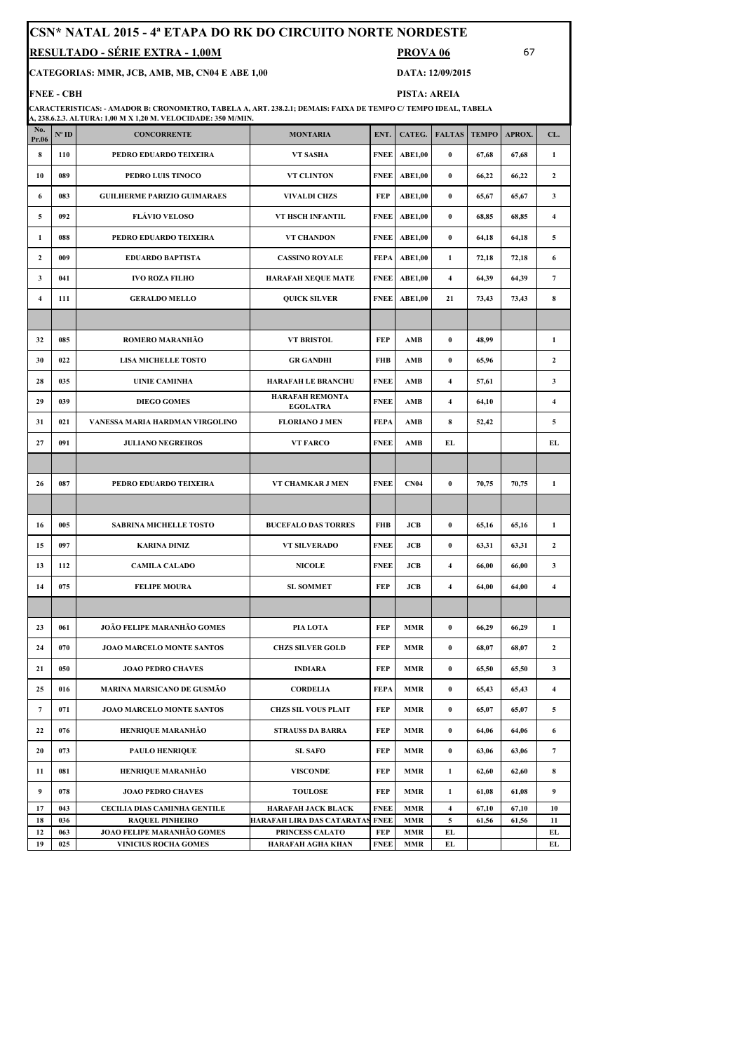|                | <b>CSN* NATAL 2015 - 4ª ETAPA DO RK DO CIRCUITO NORTE NORDESTE</b>                                                                 |                                                                                                                                                                                 |                                                    |             |                          |                    |              |        |                |  |
|----------------|------------------------------------------------------------------------------------------------------------------------------------|---------------------------------------------------------------------------------------------------------------------------------------------------------------------------------|----------------------------------------------------|-------------|--------------------------|--------------------|--------------|--------|----------------|--|
|                | RESULTADO - SÉRIE EXTRA - 1,00M<br>67<br>PROVA <sub>06</sub><br>CATEGORIAS: MMR, JCB, AMB, MB, CN04 E ABE 1,00<br>DATA: 12/09/2015 |                                                                                                                                                                                 |                                                    |             |                          |                    |              |        |                |  |
|                |                                                                                                                                    |                                                                                                                                                                                 |                                                    |             |                          |                    |              |        |                |  |
|                | <b>FNEE - CBH</b>                                                                                                                  |                                                                                                                                                                                 |                                                    |             | PISTA: AREIA             |                    |              |        |                |  |
|                |                                                                                                                                    | CARACTERISTICAS: - AMADOR B: CRONOMETRO, TABELA A, ART. 238.2.1; DEMAIS: FAIXA DE TEMPO C/ TEMPO IDEAL, TABELA<br>A, 238.6.2.3. ALTURA: 1,00 M X 1,20 M. VELOCIDADE: 350 M/MIN. |                                                    |             |                          |                    |              |        |                |  |
| No.<br>Pr.06   | N° ID                                                                                                                              | <b>CONCORRENTE</b>                                                                                                                                                              | <b>MONTARIA</b>                                    | ENT.        | CATEG.                   | <b>FALTAS</b>      | <b>TEMPO</b> | APROX. | CL.            |  |
| 8              | 110                                                                                                                                | PEDRO EDUARDO TEIXEIRA                                                                                                                                                          | VT SASHA                                           | <b>FNEE</b> | <b>ABE1,00</b>           | $\bf{0}$           | 67,68        | 67,68  | $\mathbf{1}$   |  |
| 10             | 089                                                                                                                                | PEDRO LUIS TINOCO                                                                                                                                                               | <b>VT CLINTON</b>                                  | <b>FNEE</b> | <b>ABE1,00</b>           | $\bf{0}$           | 66,22        | 66,22  | 2              |  |
| 6              | 083                                                                                                                                | <b>GUILHERME PARIZIO GUIMARAES</b>                                                                                                                                              | <b>VIVALDI CHZS</b>                                | FEP         | <b>ABE1,00</b>           | $\bf{0}$           | 65,67        | 65,67  | 3              |  |
| 5              | 092                                                                                                                                | <b>FLÁVIO VELOSO</b>                                                                                                                                                            | VT HSCH INFANTIL                                   | <b>FNEE</b> | <b>ABE1,00</b>           | $\bf{0}$           | 68,85        | 68,85  | 4              |  |
| $\mathbf{1}$   | 088                                                                                                                                | PEDRO EDUARDO TEIXEIRA                                                                                                                                                          | VT CHANDON                                         | <b>FNEE</b> | <b>ABE1,00</b>           | $\bf{0}$           | 64,18        | 64,18  | 5              |  |
| $\mathbf{2}$   | 009                                                                                                                                | <b>EDUARDO BAPTISTA</b>                                                                                                                                                         | <b>CASSINO ROYALE</b>                              | FEPA        | <b>ABE1,00</b>           | 1                  | 72,18        | 72,18  | 6              |  |
| 3              | 041                                                                                                                                | <b>IVO ROZA FILHO</b>                                                                                                                                                           | <b>HARAFAH XEQUE MATE</b>                          | <b>FNEE</b> | <b>ABE1,00</b>           | $\overline{\bf 4}$ | 64,39        | 64,39  | $\overline{7}$ |  |
| $\overline{4}$ | 111                                                                                                                                | <b>GERALDO MELLO</b>                                                                                                                                                            | <b>QUICK SILVER</b>                                | <b>FNEE</b> | <b>ABE1,00</b>           | 21                 | 73,43        | 73,43  | 8              |  |
|                |                                                                                                                                    |                                                                                                                                                                                 |                                                    |             |                          |                    |              |        |                |  |
| 32             | 085                                                                                                                                | ROMERO MARANHÃO                                                                                                                                                                 | <b>VT BRISTOL</b>                                  | FEP         | AMB                      | $\bf{0}$           | 48,99        |        | $\mathbf{1}$   |  |
| 30             | 022                                                                                                                                | <b>LISA MICHELLE TOSTO</b>                                                                                                                                                      | <b>GR GANDHI</b>                                   | <b>FHB</b>  | AMB                      | $\bf{0}$           | 65,96        |        | $\mathbf{2}$   |  |
| 28             | 035                                                                                                                                | <b>UINIE CAMINHA</b>                                                                                                                                                            | <b>HARAFAH LE BRANCHU</b>                          | <b>FNEE</b> | AMB                      | $\overline{4}$     | 57,61        |        | 3              |  |
| 29             | 039                                                                                                                                | <b>DIEGO GOMES</b>                                                                                                                                                              | <b>HARAFAH REMONTA</b><br><b>EGOLATRA</b>          | <b>FNEE</b> | AMB                      | $\overline{4}$     | 64,10        |        | 4              |  |
| 31             | 021                                                                                                                                | VANESSA MARIA HARDMAN VIRGOLINO                                                                                                                                                 | <b>FLORIANO J MEN</b>                              | <b>FEPA</b> | AMB                      | 8                  | 52,42        |        | 5              |  |
| 27             | 091                                                                                                                                | <b>JULIANO NEGREIROS</b>                                                                                                                                                        | VT FARCO                                           | <b>FNEE</b> | AMB                      | EL                 |              |        | EL             |  |
|                |                                                                                                                                    |                                                                                                                                                                                 |                                                    |             |                          |                    |              |        |                |  |
| 26             | 087                                                                                                                                | PEDRO EDUARDO TEIXEIRA                                                                                                                                                          | VT CHAMKAR J MEN                                   | <b>FNEE</b> | <b>CN04</b>              | $\bf{0}$           | 70,75        | 70,75  | $\mathbf{1}$   |  |
|                |                                                                                                                                    |                                                                                                                                                                                 |                                                    |             |                          |                    |              |        |                |  |
| 16             | 005                                                                                                                                | <b>SABRINA MICHELLE TOSTO</b>                                                                                                                                                   | <b>BUCEFALO DAS TORRES</b>                         | <b>FHB</b>  | JCB                      | $\bf{0}$           | 65,16        | 65,16  | $\mathbf{1}$   |  |
| 15             | 097                                                                                                                                | KARINA DINIZ                                                                                                                                                                    | <b>VT SILVERADO</b>                                | <b>FNEE</b> | JCB                      | $\bf{0}$           | 63,31        | 63,31  | $\mathbf{2}$   |  |
| 13             | 112                                                                                                                                | <b>CAMILA CALADO</b>                                                                                                                                                            | <b>NICOLE</b>                                      | <b>FNEE</b> | JCB                      | $\overline{4}$     | 66,00        | 66,00  | 3              |  |
| 14             | 075                                                                                                                                | <b>FELIPE MOURA</b>                                                                                                                                                             | <b>SL SOMMET</b>                                   | FEP         | JCB                      | 4                  | 64,00        | 64,00  | 4              |  |
|                |                                                                                                                                    |                                                                                                                                                                                 |                                                    |             |                          |                    |              |        |                |  |
| 23             | 061                                                                                                                                | JOÃO FELIPE MARANHÃO GOMES                                                                                                                                                      | PIA LOTA                                           | FEP         | <b>MMR</b>               | $\bf{0}$           | 66,29        | 66,29  | $\mathbf{1}$   |  |
| 24             | 070                                                                                                                                | JOAO MARCELO MONTE SANTOS                                                                                                                                                       | <b>CHZS SILVER GOLD</b>                            | FEP         | <b>MMR</b>               | $\bf{0}$           | 68,07        | 68,07  | 2              |  |
| 21             | 050                                                                                                                                | <b>JOAO PEDRO CHAVES</b>                                                                                                                                                        | <b>INDIARA</b>                                     | FEP         | <b>MMR</b>               | $\pmb{0}$          | 65,50        | 65,50  | 3              |  |
| 25             | 016                                                                                                                                | <b>MARINA MARSICANO DE GUSMÃO</b>                                                                                                                                               | <b>CORDELIA</b>                                    | <b>FEPA</b> | <b>MMR</b>               | $\bf{0}$           | 65,43        | 65,43  | 4              |  |
| $\overline{7}$ | 071                                                                                                                                | <b>JOAO MARCELO MONTE SANTOS</b>                                                                                                                                                | <b>CHZS SIL VOUS PLAIT</b>                         | FEP         | <b>MMR</b>               | $\bf{0}$           | 65,07        | 65,07  | 5              |  |
| 22             | 076                                                                                                                                | <b>HENRIQUE MARANHÃO</b>                                                                                                                                                        | <b>STRAUSS DA BARRA</b>                            | FEP         | <b>MMR</b>               | $\bf{0}$           | 64,06        | 64,06  | 6              |  |
| 20             | 073                                                                                                                                | <b>PAULO HENRIQUE</b>                                                                                                                                                           | <b>SL SAFO</b>                                     | <b>FEP</b>  | <b>MMR</b>               | $\pmb{0}$          | 63,06        | 63,06  | $\overline{7}$ |  |
| 11             | 081                                                                                                                                | HENRIQUE MARANHÃO                                                                                                                                                               | <b>VISCONDE</b>                                    | FEP         | <b>MMR</b>               | $\mathbf{1}$       | 62,60        | 62,60  | 8              |  |
| 9              | 078                                                                                                                                | <b>JOAO PEDRO CHAVES</b>                                                                                                                                                        | <b>TOULOSE</b>                                     | <b>FEP</b>  | <b>MMR</b>               | $\mathbf{1}$       | 61,08        | 61,08  | 9              |  |
| 17             | 043                                                                                                                                | CECILIA DIAS CAMINHA GENTILE                                                                                                                                                    | <b>HARAFAH JACK BLACK</b>                          | <b>FNEE</b> | <b>MMR</b>               | $\overline{\bf 4}$ | 67,10        | 67,10  | 10             |  |
| 18<br>12       | 036<br>063                                                                                                                         | <b>RAQUEL PINHEIRO</b><br>JOAO FELIPE MARANHÃO GOMES                                                                                                                            | HARAFAH LIRA DAS CATARATAS FNEE<br>PRINCESS CALATO | <b>FEP</b>  | <b>MMR</b><br><b>MMR</b> | 5<br>EL            | 61,56        | 61,56  | 11<br>EL       |  |
| 19             | 025                                                                                                                                | <b>VINICIUS ROCHA GOMES</b>                                                                                                                                                     | <b>HARAFAH AGHA KHAN</b>                           | <b>FNEE</b> | <b>MMR</b>               | EL                 |              |        | EL.            |  |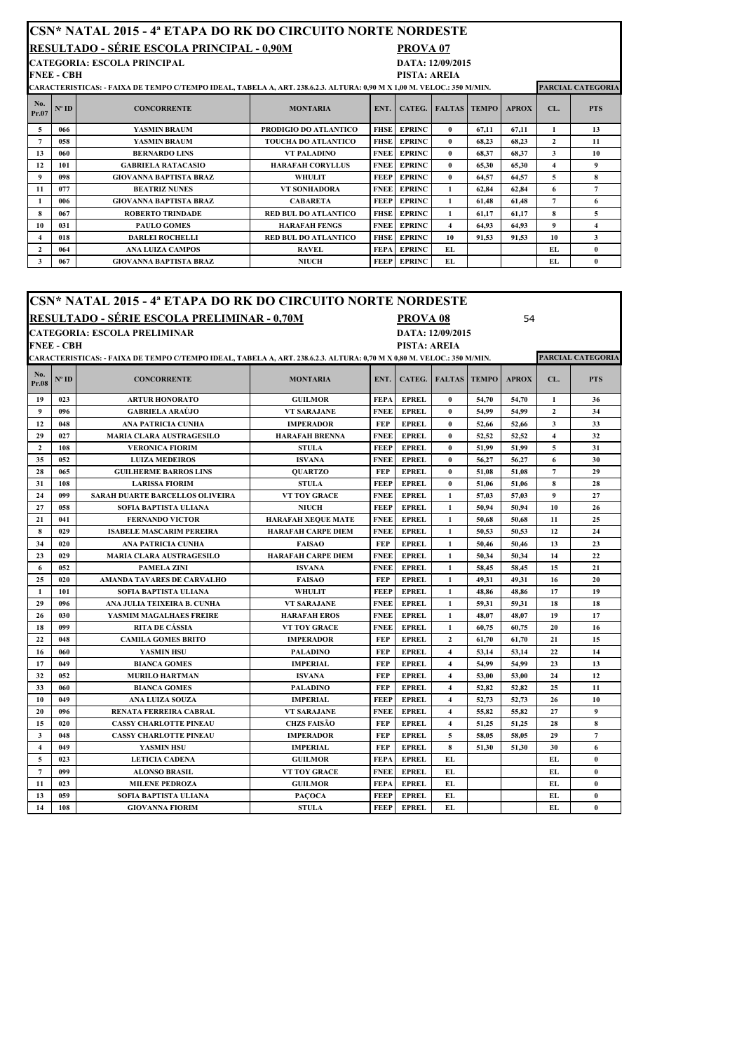## CSN\* NATAL 2015 - 4ª ETAPA DO RK DO CIRCUITO NORTE NORDESTE

RESULTADO - SÉRIE ESCOLA PRINCIPAL - 0,90M PROVA 07

CATEGORIA: ESCOLA PRINCIPAL DATA: 12/09/2015<br>
FNEE - CBH PISTA: AREIA

PISTA: AREIA

| CARACTERISTICAS: - FAIXA DE TEMPO C/TEMPO IDEAL, TABELA A, ART. 238.6.2.3. ALTURA: 0,90 M X 1,00 M. VELOC.: 350 M/MIN. |                |                               |                             |             |               |                                         |       |              | <b>PARCIAL CATEGORIA</b> |              |
|------------------------------------------------------------------------------------------------------------------------|----------------|-------------------------------|-----------------------------|-------------|---------------|-----------------------------------------|-------|--------------|--------------------------|--------------|
| No.<br>Pr.07                                                                                                           | $N^{\circ}$ ID | <b>CONCORRENTE</b>            | <b>MONTARIA</b>             |             |               | <b>ENT.   CATEG.   FALTAS   TEMPO  </b> |       | <b>APROX</b> | CL.                      | <b>PTS</b>   |
| 5                                                                                                                      | 066            | YASMIN BRAUM                  | PRODIGIO DO ATLANTICO       | <b>FHSE</b> | <b>EPRINC</b> | $\mathbf{0}$                            | 67.11 | 67.11        |                          | 13           |
|                                                                                                                        | 058            | YASMIN BRAUM                  | <b>TOUCHA DO ATLANTICO</b>  | <b>FHSE</b> | <b>EPRINC</b> | $\mathbf{0}$                            | 68.23 | 68.23        | $\mathbf{2}$             | 11           |
| 13                                                                                                                     | 060            | <b>BERNARDO LINS</b>          | VT PALADINO                 | <b>FNEE</b> | <b>EPRINC</b> | $\mathbf{0}$                            | 68.37 | 68.37        | 3                        | 10           |
| 12                                                                                                                     | 101            | <b>GABRIELA RATACASIO</b>     | <b>HARAFAH CORYLLUS</b>     | <b>FNEE</b> | <b>EPRINC</b> | $\mathbf{0}$                            | 65.30 | 65.30        | $\overline{\mathbf{4}}$  | 9            |
| 9                                                                                                                      | 098            | <b>GIOVANNA BAPTISTA BRAZ</b> | WHULIT                      | <b>FEEP</b> | <b>EPRINC</b> | $\mathbf{0}$                            | 64.57 | 64,57        | 5                        | 8            |
| 11                                                                                                                     | 077            | <b>BEATRIZ NUNES</b>          | VT SONHADORA                | <b>FNEE</b> | <b>EPRINC</b> |                                         | 62.84 | 62.84        | -6                       | 7            |
|                                                                                                                        | 006            | <b>GIOVANNA BAPTISTA BRAZ</b> | <b>CABARETA</b>             | <b>FEEP</b> | <b>EPRINC</b> |                                         | 61.48 | 61,48        | $\overline{ }$           | 6            |
| 8                                                                                                                      | 067            | <b>ROBERTO TRINDADE</b>       | <b>RED BUL DO ATLANTICO</b> | <b>FHSE</b> | <b>EPRINC</b> |                                         | 61.17 | 61.17        | 8                        | 5.           |
| 10                                                                                                                     | 031            | <b>PAULO GOMES</b>            | <b>HARAFAH FENGS</b>        | <b>FNEE</b> | <b>EPRINC</b> | $\overline{4}$                          | 64.93 | 64.93        | 9                        | 4            |
|                                                                                                                        | 018            | <b>DARLEI ROCHELLI</b>        | <b>RED BUL DO ATLANTICO</b> | <b>FHSE</b> | <b>EPRINC</b> | 10                                      | 91.53 | 91.53        | 10                       | 3            |
| $\mathbf{2}$                                                                                                           | 064            | ANA LUIZA CAMPOS              | <b>RAVEL</b>                | <b>FEPA</b> | <b>EPRINC</b> | EL                                      |       |              | EL                       | $\mathbf{0}$ |
| 3                                                                                                                      | 067            | <b>GIOVANNA BAPTISTA BRAZ</b> | <b>NIUCH</b>                | <b>FEEP</b> | <b>EPRINC</b> | EL.                                     |       |              | EL.                      | $\mathbf{0}$ |

|                  |                   | <b> CSN* NATAL 2015 - 4ª ETAPA DO RK DO CIRCUITO NORTE NORDESTE</b>                                                    |                           |             |              |                         |       |              |                     |                          |
|------------------|-------------------|------------------------------------------------------------------------------------------------------------------------|---------------------------|-------------|--------------|-------------------------|-------|--------------|---------------------|--------------------------|
|                  |                   | <b>RESULTADO - SÉRIE ESCOLA PRELIMINAR - 0,70M</b>                                                                     |                           |             | PROVA 08     |                         |       | 54           |                     |                          |
|                  |                   | <b>CATEGORIA: ESCOLA PRELIMINAR</b>                                                                                    |                           |             |              | DATA: 12/09/2015        |       |              |                     |                          |
|                  | <b>FNEE - CBH</b> |                                                                                                                        |                           |             | PISTA: AREIA |                         |       |              |                     | <b>PARCIAL CATEGORIA</b> |
|                  |                   | CARACTERISTICAS: - FAIXA DE TEMPO C/TEMPO IDEAL, TABELA A, ART. 238.6.2.3. ALTURA: 0,70 M X 0,80 M. VELOC.: 350 M/MIN. |                           |             |              |                         |       |              |                     |                          |
| No.<br>Pr.08     | $N^o$ ID          | <b>CONCORRENTE</b>                                                                                                     | <b>MONTARIA</b>           | ENT.        |              | CATEG. FALTAS TEMPO     |       | <b>APROX</b> | CL.                 | <b>PTS</b>               |
| 19               | 023               | <b>ARTUR HONORATO</b>                                                                                                  | <b>GUILMOR</b>            | <b>FEPA</b> | <b>EPREL</b> | $\mathbf{0}$            | 54.70 | 54,70        | 1                   | 36                       |
| $\boldsymbol{9}$ | 096               | <b>GABRIELA ARAÚJO</b>                                                                                                 | <b>VT SARAJANE</b>        | <b>FNEE</b> | <b>EPREL</b> | $\mathbf{0}$            | 54.99 | 54,99        | $\mathbf{2}$        | 34                       |
| 12               | 048               | ANA PATRICIA CUNHA                                                                                                     | <b>IMPERADOR</b>          | <b>FEP</b>  | <b>EPREL</b> | $\mathbf{0}$            | 52,66 | 52,66        | 3                   | 33                       |
| 29               | 027               | <b>MARIA CLARA AUSTRAGESILO</b>                                                                                        | <b>HARAFAH BRENNA</b>     | <b>FNEE</b> | <b>EPREL</b> | $\bf{0}$                | 52,52 | 52,52        | 4                   | 32                       |
| $\overline{2}$   | 108               | <b>VERONICA FIORIM</b>                                                                                                 | <b>STULA</b>              | <b>FEEP</b> | <b>EPREL</b> | $\mathbf{0}$            | 51.99 | 51,99        | 5                   | 31                       |
| 35               | 052               | <b>LUIZA MEDEIROS</b>                                                                                                  | <b>ISVANA</b>             | <b>FNEE</b> | <b>EPREL</b> | $\mathbf{0}$            | 56.27 | 56,27        | 6                   | 30                       |
| 28               | 065               | <b>GUILHERME BARROS LINS</b>                                                                                           | <b>QUARTZO</b>            | <b>FEP</b>  | <b>EPREL</b> | $\mathbf{0}$            | 51.08 | 51,08        | $\scriptstyle\rm 7$ | 29                       |
| 31               | 108               | <b>LARISSA FIORIM</b>                                                                                                  | <b>STULA</b>              | <b>FEEP</b> | <b>EPREL</b> | $\bf{0}$                | 51,06 | 51,06        | 8                   | 28                       |
| 24               | 099               | <b>SARAH DUARTE BARCELLOS OLIVEIRA</b>                                                                                 | VT TOY GRACE              | <b>FNEE</b> | <b>EPREL</b> | $\mathbf{1}$            | 57.03 | 57,03        | 9                   | 27                       |
| 27               | 058               | SOFIA BAPTISTA ULIANA                                                                                                  | <b>NIUCH</b>              | <b>FEEP</b> | <b>EPREL</b> | $\mathbf{1}$            | 50.94 | 50.94        | 10                  | 26                       |
| 21               | 041               | <b>FERNANDO VICTOR</b>                                                                                                 | <b>HARAFAH XEQUE MATE</b> | <b>FNEE</b> | <b>EPREL</b> | $\mathbf{1}$            | 50.68 | 50,68        | 11                  | 25                       |
| 8                | 029               | <b>ISABELE MASCARIM PEREIRA</b>                                                                                        | <b>HARAFAH CARPE DIEM</b> | <b>FNEE</b> | <b>EPREL</b> | 1                       | 50,53 | 50,53        | 12                  | 24                       |
| 34               | 020               | <b>ANA PATRICIA CUNHA</b>                                                                                              | <b>FAISAO</b>             | <b>FEP</b>  | <b>EPREL</b> | 1                       | 50.46 | 50.46        | 13                  | 23                       |
| 23               | 029               | <b>MARIA CLARA AUSTRAGESILO</b>                                                                                        | <b>HARAFAH CARPE DIEM</b> | <b>FNEE</b> | <b>EPREL</b> | $\mathbf{1}$            | 50.34 | 50.34        | 14                  | 22                       |
| 6                | 052               | <b>PAMELA ZINI</b>                                                                                                     | <b>ISVANA</b>             | <b>FNEE</b> | <b>EPREL</b> | 1                       | 58.45 | 58,45        | 15                  | 21                       |
| 25               | 020               | <b>AMANDA TAVARES DE CARVALHO</b>                                                                                      | <b>FAISAO</b>             | <b>FEP</b>  | <b>EPREL</b> | 1                       | 49.31 | 49,31        | 16                  | 20                       |
| $\mathbf{1}$     | 101               | <b>SOFIA BAPTISTA ULIANA</b>                                                                                           | <b>WHULIT</b>             | <b>FEEP</b> | <b>EPREL</b> | $\mathbf{1}$            | 48.86 | 48.86        | 17                  | 19                       |
| 29               | 096               | ANA JULIA TEIXEIRA B. CUNHA                                                                                            | <b>VT SARAJANE</b>        | <b>FNEE</b> | <b>EPREL</b> | 1                       | 59.31 | 59,31        | 18                  | 18                       |
| 26               | 030               | YASMIM MAGALHAES FREIRE                                                                                                | <b>HARAFAH EROS</b>       | <b>FNEE</b> | <b>EPREL</b> | 1                       | 48.07 | 48.07        | 19                  | 17                       |
| 18               | 099               | <b>RITA DE CÁSSIA</b>                                                                                                  | VT TOY GRACE              | <b>FNEE</b> | <b>EPREL</b> | 1                       | 60.75 | 60,75        | 20                  | 16                       |
| 22               | 048               | <b>CAMILA GOMES BRITO</b>                                                                                              | <b>IMPERADOR</b>          | <b>FEP</b>  | <b>EPREL</b> | $\mathbf{2}$            | 61.70 | 61.70        | 21                  | 15                       |
| 16               | 060               | YASMIN HSU                                                                                                             | <b>PALADINO</b>           | <b>FEP</b>  | <b>EPREL</b> | $\overline{\mathbf{4}}$ | 53.14 | 53.14        | 22                  | 14                       |
| 17               | 049               | <b>BIANCA GOMES</b>                                                                                                    | <b>IMPERIAL</b>           | <b>FEP</b>  | <b>EPREL</b> | $\overline{4}$          | 54.99 | 54,99        | 23                  | 13                       |
| 32               | 052               | <b>MURILO HARTMAN</b>                                                                                                  | <b>ISVANA</b>             | <b>FEP</b>  | <b>EPREL</b> | $\overline{4}$          | 53,00 | 53,00        | 24                  | 12                       |
| 33               | 060               | <b>BIANCA GOMES</b>                                                                                                    | <b>PALADINO</b>           | <b>FEP</b>  | <b>EPREL</b> | $\overline{\mathbf{4}}$ | 52.82 | 52.82        | 25                  | 11                       |
| 10               | 049               | <b>ANA LUIZA SOUZA</b>                                                                                                 | <b>IMPERIAL</b>           | <b>FEEP</b> | <b>EPREL</b> | $\overline{\mathbf{4}}$ | 52.73 | 52,73        | 26                  | 10                       |
| 20               | 096               | RENATA FERREIRA CABRAL                                                                                                 | <b>VT SARAJANE</b>        | <b>FNEE</b> | <b>EPREL</b> | $\overline{4}$          | 55,82 | 55,82        | 27                  | $\boldsymbol{9}$         |
| 15               | 020               | <b>CASSY CHARLOTTE PINEAU</b>                                                                                          | <b>CHZS FAISÃO</b>        | FEP         | <b>EPREL</b> | $\overline{4}$          | 51,25 | 51,25        | 28                  | 8                        |
| $\mathbf{3}$     | 048               | <b>CASSY CHARLOTTE PINEAU</b>                                                                                          | <b>IMPERADOR</b>          | <b>FEP</b>  | <b>EPREL</b> | 5                       | 58.05 | 58.05        | 29                  | $\overline{7}$           |
| $\overline{4}$   | 049               | YASMIN HSU                                                                                                             | <b>IMPERIAL</b>           | <b>FEP</b>  | <b>EPREL</b> | 8                       | 51.30 | 51,30        | 30                  | 6                        |
| 5                | 023               | <b>LETICIA CADENA</b>                                                                                                  | <b>GUILMOR</b>            | <b>FEPA</b> | <b>EPREL</b> | EL                      |       |              | EL.                 | $\bf{0}$                 |
| $\overline{7}$   | 099               | <b>ALONSO BRASIL</b>                                                                                                   | VT TOY GRACE              | <b>FNEE</b> | <b>EPREL</b> | EL                      |       |              | EL.                 | $\bf{0}$                 |
| 11               | 023               | <b>MILENE PEDROZA</b>                                                                                                  | <b>GUILMOR</b>            | <b>FEPA</b> | <b>EPREL</b> | <b>EL</b>               |       |              | <b>EL</b>           | $\mathbf{0}$             |
| 13               | 059               | SOFIA BAPTISTA ULIANA                                                                                                  | <b>PACOCA</b>             | <b>FEEP</b> | <b>EPREL</b> | <b>EL</b>               |       |              | <b>EL</b>           | $\bf{0}$                 |
| 14               | 108               | <b>GIOVANNA FIORIM</b>                                                                                                 | <b>STULA</b>              | <b>FEEP</b> | <b>EPREL</b> | EL                      |       |              | EL                  | $\mathbf{0}$             |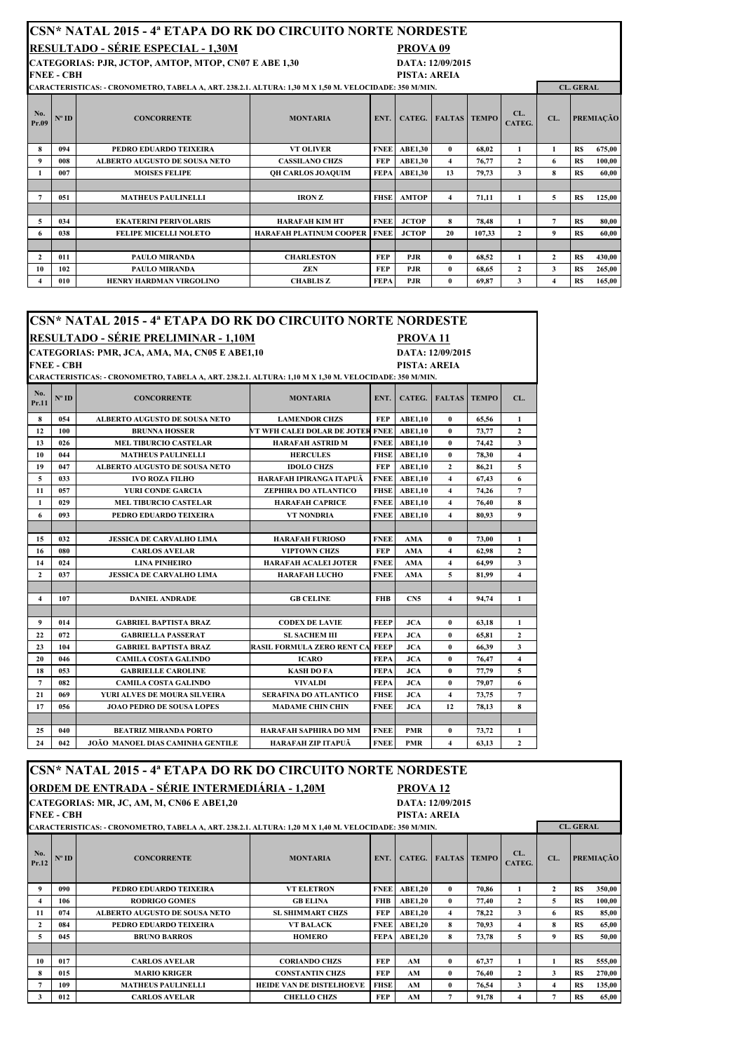|                |                   | <b>CSN* NATAL 2015 - 4ª ETAPA DO RK DO CIRCUITO NORTE NORDESTE</b>                                     |                                |             |                     |                         |        |               |                         |                  |                  |
|----------------|-------------------|--------------------------------------------------------------------------------------------------------|--------------------------------|-------------|---------------------|-------------------------|--------|---------------|-------------------------|------------------|------------------|
|                |                   | RESULTADO - SÉRIE ESPECIAL - 1,30M                                                                     |                                |             | PROVA <sub>09</sub> |                         |        |               |                         |                  |                  |
|                |                   | CATEGORIAS: PJR, JCTOP, AMTOP, MTOP, CN07 E ABE 1,30                                                   |                                |             |                     | DATA: 12/09/2015        |        |               |                         |                  |                  |
|                | <b>FNEE - CBH</b> |                                                                                                        |                                |             | PISTA: AREIA        |                         |        |               |                         |                  |                  |
|                |                   | CARACTERISTICAS: - CRONOMETRO, TABELA A, ART. 238.2.1. ALTURA: 1,30 M X 1,50 M. VELOCIDADE: 350 M/MIN. |                                |             |                     |                         |        |               |                         | <b>CL. GERAL</b> |                  |
| No.<br>Pr.09   | $N^{\circ}$ ID    | <b>CONCORRENTE</b>                                                                                     | <b>MONTARIA</b>                | ENT.        | CATEG.              | <b>FALTAS TEMPO</b>     |        | CL.<br>CATEG. | CL.                     |                  | <b>PREMIACÃO</b> |
| 8              | 094               | PEDRO EDUARDO TEIXEIRA                                                                                 | <b>VT OLIVER</b>               | <b>FNEE</b> | <b>ABE1.30</b>      | $\mathbf{0}$            | 68.02  | 1             | $\mathbf{1}$            | RS               | 675,00           |
| 9              | 008               | ALBERTO AUGUSTO DE SOUSA NETO                                                                          | <b>CASSILANO CHZS</b>          | <b>FEP</b>  | <b>ABE1.30</b>      | $\overline{\mathbf{4}}$ | 76.77  | $\mathbf{2}$  | 6                       | <b>RS</b>        | 100,00           |
|                | 007               | <b>MOISES FELIPE</b>                                                                                   | <b>OH CARLOS JOAQUIM</b>       | <b>FEPA</b> | <b>ABE1.30</b>      | 13                      | 79.73  | 3             | 8                       | <b>RS</b>        | 60.00            |
|                |                   |                                                                                                        |                                |             |                     |                         |        |               |                         |                  |                  |
| $\overline{7}$ | 051               | <b>MATHEUS PAULINELLI</b>                                                                              | <b>IRON Z</b>                  | <b>FHSE</b> | <b>AMTOP</b>        | $\overline{\mathbf{4}}$ | 71.11  | 1             | 5                       | <b>RS</b>        | 125.00           |
|                |                   |                                                                                                        |                                |             |                     |                         |        |               |                         |                  |                  |
| 5              | 034               | <b>EKATERINI PERIVOLARIS</b>                                                                           | <b>HARAFAH KIM HT</b>          | <b>FNEE</b> | <b>JCTOP</b>        | 8                       | 78.48  | 1             | $\overline{7}$          | <b>RS</b>        | 80,00            |
| 6              | 038               | <b>FELIPE MICELLI NOLETO</b>                                                                           | <b>HARAFAH PLATINUM COOPER</b> | <b>FNEE</b> | <b>JCTOP</b>        | 20                      | 107.33 | $\mathbf{2}$  | 9                       | <b>RS</b>        | 60,00            |
|                |                   |                                                                                                        |                                |             |                     |                         |        |               |                         |                  |                  |
| $\mathbf{2}$   | 011               | PAULO MIRANDA                                                                                          | <b>CHARLESTON</b>              | <b>FEP</b>  | P.JR                | $\mathbf{0}$            | 68.52  | 1             | $\overline{2}$          | <b>RS</b>        | 430,00           |
| 10             | 102               | <b>PAULO MIRANDA</b>                                                                                   | <b>ZEN</b>                     | <b>FEP</b>  | PJR                 | $\mathbf{0}$            | 68.65  | $\mathbf{2}$  | 3                       | <b>RS</b>        | 265,00           |
| 4              | 010               | HENRY HARDMAN VIRGOLINO                                                                                | <b>CHABLISZ</b>                | <b>FEPA</b> | PJR                 | $\mathbf{0}$            | 69.87  | 3             | $\overline{\mathbf{4}}$ | <b>RS</b>        | 165.00           |

|                | CSN* NATAL 2015 - 4ª ETAPA DO RK DO CIRCUITO NORTE NORDESTE                 |                                                                                                        |                                        |             |                |                         |              |                         |  |  |  |
|----------------|-----------------------------------------------------------------------------|--------------------------------------------------------------------------------------------------------|----------------------------------------|-------------|----------------|-------------------------|--------------|-------------------------|--|--|--|
|                | RESULTADO - SÉRIE PRELIMINAR - 1,10M<br><b>PROVA 11</b><br>DATA: 12/09/2015 |                                                                                                        |                                        |             |                |                         |              |                         |  |  |  |
|                |                                                                             | CATEGORIAS: PMR, JCA, AMA, MA, CN05 E ABE1,10                                                          |                                        |             |                |                         |              |                         |  |  |  |
|                | <b>FNEE - CBH</b>                                                           |                                                                                                        |                                        |             | PISTA: AREIA   |                         |              |                         |  |  |  |
|                |                                                                             | CARACTERISTICAS: - CRONOMETRO, TABELA A, ART. 238.2.1. ALTURA: 1,10 M X 1,30 M. VELOCIDADE: 350 M/MIN. |                                        |             |                |                         |              |                         |  |  |  |
| No.<br>Pr.11   | $N^{\circ}$ ID                                                              | <b>CONCORRENTE</b>                                                                                     | <b>MONTARIA</b>                        | ENT.        | CATEG.         | <b>FALTAS</b>           | <b>TEMPO</b> | CL.                     |  |  |  |
| 8              | 054                                                                         | <b>ALBERTO AUGUSTO DE SOUSA NETO</b>                                                                   | <b>LAMENDOR CHZS</b>                   | <b>FEP</b>  | <b>ABE1,10</b> | $\bf{0}$                | 65,56        | 1                       |  |  |  |
| 12             | 100                                                                         | <b>BRUNNA HOSSER</b>                                                                                   | VT WFH CALEI DOLAR DE JOTER FNEE       |             | <b>ABE1,10</b> | $\mathbf{0}$            | 73,77        | $\mathbf{2}$            |  |  |  |
| 13             | 026                                                                         | <b>MEL TIBURCIO CASTELAR</b>                                                                           | <b>HARAFAH ASTRID M</b>                | <b>FNEE</b> | <b>ABE1,10</b> | 0                       | 74.42        | 3                       |  |  |  |
| 10             | 044                                                                         | <b>MATHEUS PAULINELLI</b>                                                                              | <b>HERCULES</b>                        | <b>FHSE</b> | <b>ABE1,10</b> | $\bf{0}$                | 78.30        | $\overline{\mathbf{4}}$ |  |  |  |
| 19             | 047                                                                         | <b>ALBERTO AUGUSTO DE SOUSA NETO</b>                                                                   | <b>IDOLO CHZS</b>                      | <b>FEP</b>  | <b>ABE1,10</b> | $\mathbf{2}$            | 86,21        | 5                       |  |  |  |
| 5              | 033                                                                         | <b>IVO ROZA FILHO</b>                                                                                  | HARAFAH IPIRANGA ITAPUÃ                | <b>FNEE</b> | <b>ABE1,10</b> | $\overline{\mathbf{4}}$ | 67.43        | 6                       |  |  |  |
| 11             | 057                                                                         | <b>YURI CONDE GARCIA</b>                                                                               | <b>ZEPHIRA DO ATLANTICO</b>            | <b>FHSE</b> | <b>ABE1,10</b> | 4                       | 74.26        | 7                       |  |  |  |
| 1              | 029                                                                         | <b>MEL TIBURCIO CASTELAR</b>                                                                           | <b>HARAFAH CAPRICE</b>                 | <b>FNEE</b> | <b>ABE1,10</b> | 4                       | 76.40        | 8                       |  |  |  |
| 6              | 093                                                                         | PEDRO EDUARDO TEIXEIRA                                                                                 | VT NONDRIA                             | <b>FNEE</b> | <b>ABE1,10</b> | 4                       | 80.93        | 9                       |  |  |  |
|                |                                                                             |                                                                                                        |                                        |             |                |                         |              |                         |  |  |  |
| 15             | 032                                                                         | <b>JESSICA DE CARVALHO LIMA</b>                                                                        | <b>HARAFAH FURIOSO</b>                 | <b>FNEE</b> | AMA            | 0                       | 73,00        | 1                       |  |  |  |
| 16             | 080                                                                         | <b>CARLOS AVELAR</b>                                                                                   | <b>VIPTOWN CHZS</b>                    | <b>FEP</b>  | AMA            | 4                       | 62,98        | $\boldsymbol{2}$        |  |  |  |
| 14             | 024                                                                         | <b>LINA PINHEIRO</b>                                                                                   | <b>HARAFAH ACALEI JOTER</b>            | <b>FNEE</b> | AMA            | 4                       | 64,99        | 3                       |  |  |  |
| $\mathbf{2}$   | 037                                                                         | <b>JESSICA DE CARVALHO LIMA</b>                                                                        | <b>HARAFAH LUCHO</b>                   | <b>FNEE</b> | AMA            | 5                       | 81,99        | $\overline{\mathbf{4}}$ |  |  |  |
|                |                                                                             |                                                                                                        |                                        |             |                |                         |              |                         |  |  |  |
| $\overline{4}$ | 107                                                                         | <b>DANIEL ANDRADE</b>                                                                                  | <b>GB CELINE</b>                       | <b>FHB</b>  | CN5            | $\overline{4}$          | 94.74        | 1                       |  |  |  |
|                |                                                                             |                                                                                                        |                                        |             |                |                         |              |                         |  |  |  |
| 9              | 014                                                                         | <b>GABRIEL BAPTISTA BRAZ</b>                                                                           | <b>CODEX DE LAVIE</b>                  | <b>FEEP</b> | <b>JCA</b>     | $\bf{0}$                | 63,18        | 1                       |  |  |  |
| 22             | 072                                                                         | <b>GABRIELLA PASSERAT</b>                                                                              | <b>SL SACHEM III</b>                   | <b>FEPA</b> | <b>JCA</b>     | $\bf{0}$                | 65.81        | $\mathbf{2}$            |  |  |  |
| 23             | 104                                                                         | <b>GABRIEL BAPTISTA BRAZ</b>                                                                           | <b>RASIL FORMULA ZERO RENT CA FEEP</b> |             | <b>JCA</b>     | 0                       | 66,39        | 3                       |  |  |  |
| 20             | 046                                                                         | <b>CAMILA COSTA GALINDO</b>                                                                            | <b>ICARO</b>                           | <b>FEPA</b> | <b>JCA</b>     | $\bf{0}$                | 76.47        | $\overline{\mathbf{4}}$ |  |  |  |
| 18             | 053                                                                         | <b>GABRIELLE CAROLINE</b>                                                                              | <b>KASH DO FA</b>                      | <b>FEPA</b> | <b>JCA</b>     | $\bf{0}$                | 77.79        | 5                       |  |  |  |
| $\overline{7}$ | 082                                                                         | <b>CAMILA COSTA GALINDO</b>                                                                            | <b>VIVALDI</b>                         | <b>FEPA</b> | JCA            | $\bf{0}$                | 79.07        | 6                       |  |  |  |
| 21             | 069                                                                         | YURI ALVES DE MOURA SILVEIRA                                                                           | SERAFINA DO ATLANTICO                  | <b>FHSE</b> | <b>JCA</b>     | 4                       | 73,75        | $\overline{7}$          |  |  |  |
| 17             | 056                                                                         | <b>JOAO PEDRO DE SOUSA LOPES</b>                                                                       | <b>MADAME CHIN CHIN</b>                | <b>FNEE</b> | <b>JCA</b>     | 12                      | 78,13        | 8                       |  |  |  |
|                |                                                                             |                                                                                                        |                                        |             |                |                         |              |                         |  |  |  |
| 25             | 040                                                                         | <b>BEATRIZ MIRANDA PORTO</b>                                                                           | HARAFAH SAPHIRA DO MM                  | <b>FNEE</b> | <b>PMR</b>     | $\bf{0}$                | 73,72        | 1                       |  |  |  |
| 24             | 042                                                                         | JOÃO  MANOEL DIAS CAMINHA GENTILE                                                                      | HARAFAH ZIP ITAPUÃ                     | <b>FNEE</b> | <b>PMR</b>     | 4                       | 63.13        | $\overline{2}$          |  |  |  |

|              | <b>CSN* NATAL 2015 - 4ª ETAPA DO RK DO CIRCUITO NORTE NORDESTE</b> |                                                                                                        |                                 |             |                     |                     |       |                         |                |                  |                  |  |
|--------------|--------------------------------------------------------------------|--------------------------------------------------------------------------------------------------------|---------------------------------|-------------|---------------------|---------------------|-------|-------------------------|----------------|------------------|------------------|--|
|              |                                                                    | ORDEM DE ENTRADA - SÉRIE INTERMEDIÁRIA - 1.20M                                                         |                                 |             | PROVA <sub>12</sub> |                     |       |                         |                |                  |                  |  |
|              |                                                                    | CATEGORIAS: MR, JC, AM, M, CN06 E ABE1,20                                                              |                                 |             |                     | DATA: 12/09/2015    |       |                         |                |                  |                  |  |
|              | <b>FNEE - CBH</b>                                                  |                                                                                                        |                                 |             | PISTA: AREIA        |                     |       |                         |                |                  |                  |  |
|              |                                                                    | CARACTERISTICAS: - CRONOMETRO, TABELA A, ART. 238.2.1. ALTURA: 1,20 M X 1,40 M. VELOCIDADE: 350 M/MIN. |                                 |             |                     |                     |       |                         |                | <b>CL. GERAL</b> |                  |  |
| No.<br>Pr.12 | $N^{\circ}$ ID                                                     | <b>CONCORRENTE</b>                                                                                     | <b>MONTARIA</b>                 | ENT.        |                     | CATEG. FALTAS TEMPO |       | CL.<br>CATEG.           | CL.            |                  | <b>PREMIACÃO</b> |  |
| 9            | 090                                                                | PEDRO EDUARDO TEIXEIRA                                                                                 | <b>VT ELETRON</b>               | <b>FNEE</b> | <b>ABE1.20</b>      | $\mathbf{0}$        | 70.86 | 1                       | $\mathbf{2}$   | <b>RS</b>        | 350,00           |  |
| 4            | 106                                                                | <b>RODRIGO GOMES</b>                                                                                   | <b>GB ELINA</b>                 | <b>FHB</b>  | <b>ABE1,20</b>      | $\mathbf{0}$        | 77.40 | $\mathbf{2}$            | 5              | <b>RS</b>        | 100,00           |  |
| 11           | 074                                                                | ALBERTO AUGUSTO DE SOUSA NETO                                                                          | <b>SL SHIMMART CHZS</b>         | <b>FEP</b>  | <b>ABE1.20</b>      | $\overline{4}$      | 78.22 | 3                       | 6              | <b>RS</b>        | 85,00            |  |
| $\mathbf{2}$ | 084                                                                | PEDRO EDUARDO TEIXEIRA                                                                                 | <b>VT BALACK</b>                | <b>FNEE</b> | <b>ABE1.20</b>      | 8                   | 70.93 | 4                       | 8              | <b>RS</b>        | 65,00            |  |
| 5            | 045                                                                | <b>BRUNO BARROS</b>                                                                                    | <b>HOMERO</b>                   | <b>FEPA</b> | <b>ABE1,20</b>      | 8                   | 73,78 | 5                       | 9              | <b>RS</b>        | 50,00            |  |
|              |                                                                    |                                                                                                        |                                 |             |                     |                     |       |                         |                |                  |                  |  |
| 10           | 017                                                                | <b>CARLOS AVELAR</b>                                                                                   | <b>CORIANDO CHZS</b>            | <b>FEP</b>  | AM                  | $\mathbf{0}$        | 67.37 | 1                       | 1              | <b>RS</b>        | 555,00           |  |
| 8            | 015                                                                | <b>MARIO KRIGER</b>                                                                                    | <b>CONSTANTIN CHZS</b>          | <b>FEP</b>  | AM                  | $\mathbf{0}$        | 76.40 | $\mathbf{2}$            | 3              | <b>RS</b>        | 270,00           |  |
| 7            | 109                                                                | <b>MATHEUS PAULINELLI</b>                                                                              | <b>HEIDE VAN DE DISTELHOEVE</b> | <b>FHSE</b> | AM                  | $\mathbf{0}$        | 76.54 | 3                       | $\overline{4}$ | <b>RS</b>        | 135,00           |  |
| 3            | 012                                                                | <b>CARLOS AVELAR</b>                                                                                   | <b>CHELLO CHZS</b>              | <b>FEP</b>  | AM                  |                     | 91,78 | $\overline{\mathbf{4}}$ | 7              | <b>RS</b>        | 65,00            |  |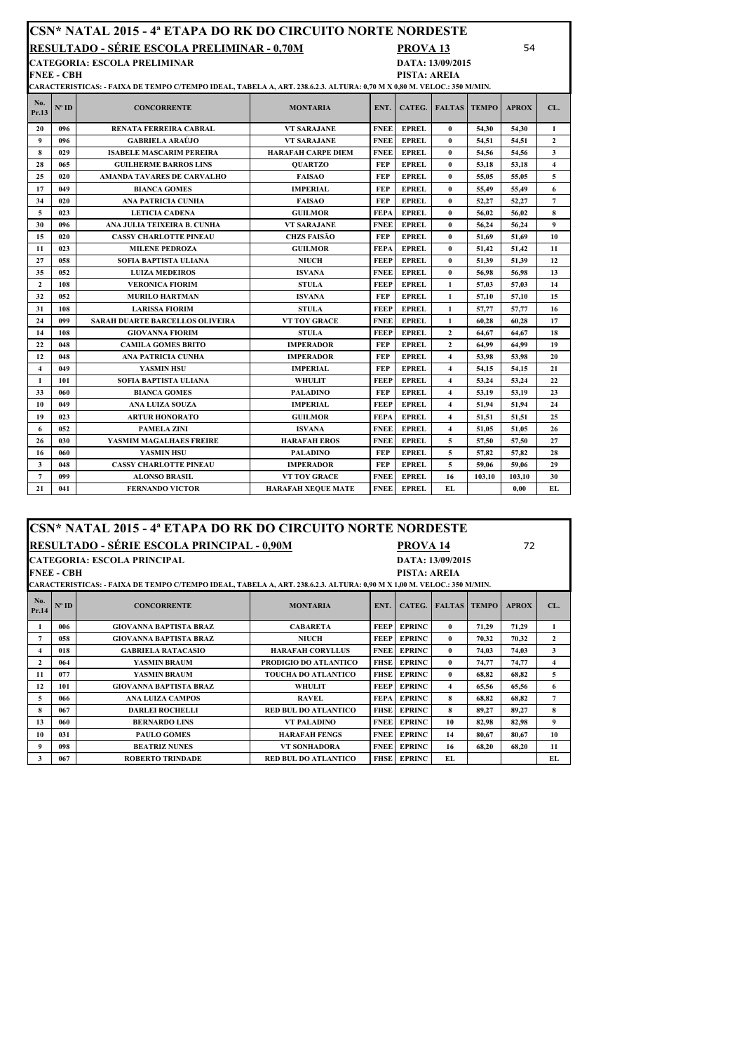## CSN\* NATAL 2015 - 4ª ETAPA DO RK DO CIRCUITO NORTE NORDESTE RESULTADO - SÉRIE ESCOLA PRELIMINAR - 0,70M PROVA 13 CATEGORIA: ESCOLA PRELIMINAR DATA: 13/09/2015<br>
FNEE - CBH PISTA: AREIA

PISTA: AREIA

CARACTERISTICAS: - FAIXA DE TEMPO C/TEMPO IDEAL, TABELA A, ART. 238.6.2.3. ALTURA: 0,70 M X 0,80 M. VELOC.: 350 M/MIN.

| No.<br>Pr.13   | $N^{\circ}$ ID | <b>CONCORRENTE</b>                     | <b>MONTARIA</b>           | ENT.        |              | <b>CATEG.</b>   <b>FALTAS</b> | <b>TEMPO</b> | <b>APROX</b> | CL.                     |
|----------------|----------------|----------------------------------------|---------------------------|-------------|--------------|-------------------------------|--------------|--------------|-------------------------|
| 20             | 096            | <b>RENATA FERREIRA CABRAL</b>          | VT SARAJANE               | <b>FNEE</b> | <b>EPREL</b> | $\bf{0}$                      | 54,30        | 54,30        | 1                       |
| 9              | 096            | <b>GABRIELA ARAÚJO</b>                 | <b>VT SARAJANE</b>        | <b>FNEE</b> | <b>EPREL</b> | $\bf{0}$                      | 54.51        | 54.51        | $\mathbf{2}$            |
| 8              | 029            | <b>ISABELE MASCARIM PEREIRA</b>        | <b>HARAFAH CARPE DIEM</b> | <b>FNEE</b> | EPREL        | 0                             | 54,56        | 54,56        | 3                       |
| 28             | 065            | <b>GUILHERME BARROS LINS</b>           | <b>QUARTZO</b>            | <b>FEP</b>  | <b>EPREL</b> | $\bf{0}$                      | 53.18        | 53.18        | $\overline{\mathbf{4}}$ |
| 25             | 020            | AMANDA TAVARES DE CARVALHO             | <b>FAISAO</b>             | <b>FEP</b>  | EPREL        | 0                             | 55,05        | 55.05        | 5                       |
| 17             | 049            | <b>BIANCA GOMES</b>                    | <b>IMPERIAL</b>           | <b>FEP</b>  | <b>EPREL</b> | $\bf{0}$                      | 55.49        | 55.49        | 6                       |
| 34             | 020            | ANA PATRICIA CUNHA                     | <b>FAISAO</b>             | <b>FEP</b>  | <b>EPREL</b> | 0                             | 52,27        | 52,27        | $\overline{7}$          |
| 5              | 023            | <b>LETICIA CADENA</b>                  | <b>GUILMOR</b>            | <b>FEPA</b> | <b>EPREL</b> | $\bf{0}$                      | 56.02        | 56.02        | 8                       |
| 30             | 096            | ANA JULIA TEIXEIRA B. CUNHA            | VT SARAJANE               | <b>FNEE</b> | <b>EPREL</b> | $\bf{0}$                      | 56,24        | 56,24        | 9                       |
| 15             | 020            | <b>CASSY CHARLOTTE PINEAU</b>          | <b>CHZS FAISÃO</b>        | <b>FEP</b>  | <b>EPREL</b> | $\bf{0}$                      | 51.69        | 51.69        | 10                      |
| 11             | 023            | <b>MILENE PEDROZA</b>                  | <b>GUILMOR</b>            | <b>FEPA</b> | <b>EPREL</b> | $\bf{0}$                      | 51,42        | 51,42        | 11                      |
| 27             | 058            | SOFIA BAPTISTA ULIANA                  | <b>NIUCH</b>              | <b>FEEP</b> | <b>EPREL</b> | $\bf{0}$                      | 51.39        | 51.39        | 12                      |
| 35             | 052            | <b>LUIZA MEDEIROS</b>                  | <b>ISVANA</b>             | <b>FNEE</b> | <b>EPREL</b> | $\bf{0}$                      | 56,98        | 56,98        | 13                      |
| $\overline{2}$ | 108            | <b>VERONICA FIORIM</b>                 | <b>STULA</b>              | <b>FEEP</b> | <b>EPREL</b> | 1                             | 57.03        | 57,03        | 14                      |
| 32             | 052            | <b>MURILO HARTMAN</b>                  | <b>ISVANA</b>             | <b>FEP</b>  | <b>EPREL</b> | 1                             | 57,10        | 57.10        | 15                      |
| 31             | 108            | <b>LARISSA FIORIM</b>                  | <b>STULA</b>              | <b>FEEP</b> | <b>EPREL</b> | 1                             | 57,77        | 57.77        | 16                      |
| 24             | 099            | <b>SARAH DUARTE BARCELLOS OLIVEIRA</b> | <b>VT TOY GRACE</b>       | <b>FNEE</b> | <b>EPREL</b> | 1                             | 60.28        | 60.28        | 17                      |
| 14             | 108            | <b>GIOVANNA FIORIM</b>                 | <b>STULA</b>              | <b>FEEP</b> | <b>EPREL</b> | $\mathbf{2}$                  | 64.67        | 64.67        | 18                      |
| 22             | 048            | <b>CAMILA GOMES BRITO</b>              | <b>IMPERADOR</b>          | <b>FEP</b>  | <b>EPREL</b> | $\mathbf{2}$                  | 64.99        | 64.99        | 19                      |
| 12             | 048            | ANA PATRICIA CUNHA                     | <b>IMPERADOR</b>          | <b>FEP</b>  | <b>EPREL</b> | $\overline{\mathbf{4}}$       | 53.98        | 53.98        | 20                      |
| $\overline{4}$ | 049            | <b>YASMIN HSU</b>                      | <b>IMPERIAL</b>           | <b>FEP</b>  | <b>EPREL</b> | $\overline{\mathbf{4}}$       | 54,15        | 54.15        | 21                      |
| 1              | 101            | SOFIA BAPTISTA ULIANA                  | WHULIT                    | <b>FEEP</b> | EPREL        | $\overline{\mathbf{4}}$       | 53.24        | 53.24        | 22                      |
| 33             | 060            | <b>BIANCA GOMES</b>                    | <b>PALADINO</b>           | FEP         | <b>EPREL</b> | 4                             | 53,19        | 53.19        | 23                      |
| 10             | 049            | ANA LUIZA SOUZA                        | <b>IMPERIAL</b>           | <b>FEEP</b> | <b>EPREL</b> | 4                             | 51.94        | 51.94        | 24                      |
| 19             | 023            | <b>ARTUR HONORATO</b>                  | <b>GUILMOR</b>            | <b>FEPA</b> | <b>EPREL</b> | $\overline{4}$                | 51,51        | 51.51        | 25                      |
| 6              | 052            | <b>PAMELA ZINI</b>                     | <b>ISVANA</b>             | <b>FNEE</b> | <b>EPREL</b> | $\overline{4}$                | 51.05        | 51.05        | 26                      |
| 26             | 030            | YASMIM MAGALHAES FREIRE                | <b>HARAFAH EROS</b>       | <b>FNEE</b> | <b>EPREL</b> | 5                             | 57.50        | 57.50        | 27                      |
| 16             | 060            | <b>YASMIN HSU</b>                      | <b>PALADINO</b>           | <b>FEP</b>  | <b>EPREL</b> | 5                             | 57.82        | 57.82        | 28                      |
| 3              | 048            | <b>CASSY CHARLOTTE PINEAU</b>          | <b>IMPERADOR</b>          | <b>FEP</b>  | <b>EPREL</b> | 5                             | 59.06        | 59,06        | 29                      |
| $\overline{7}$ | 099            | <b>ALONSO BRASIL</b>                   | <b>VT TOY GRACE</b>       | <b>FNEE</b> | <b>EPREL</b> | 16                            | 103.10       | 103.10       | 30                      |
| 21             | 041            | <b>FERNANDO VICTOR</b>                 | <b>HARAFAH XEOUE MATE</b> | <b>FNEE</b> | <b>EPREL</b> | EL.                           |              | 0.00         | EL.                     |

|              | CSN* NATAL 2015 - 4ª ETAPA DO RK DO CIRCUITO NORTE NORDESTE |                                                                                                                                                        |                             |             |                    |                  |              |              |                |  |  |  |
|--------------|-------------------------------------------------------------|--------------------------------------------------------------------------------------------------------------------------------------------------------|-----------------------------|-------------|--------------------|------------------|--------------|--------------|----------------|--|--|--|
|              |                                                             | <b>RESULTADO - SÉRIE ESCOLA PRINCIPAL - 0,90M</b>                                                                                                      |                             |             | PROVA 14           |                  |              | 72           |                |  |  |  |
|              | <b>FNEE - CBH</b>                                           | CATEGORIA: ESCOLA PRINCIPAL <br>CARACTERISTICAS: - FAIXA DE TEMPO C/TEMPO IDEAL, TABELA A, ART. 238.6.2.3. ALTURA: 0,90 M X 1,00 M. VELOC.: 350 M/MIN. |                             |             | PISTA: AREIA       | DATA: 13/09/2015 |              |              |                |  |  |  |
| No.<br>Pr.14 | $N^{\circ}$ ID                                              | <b>CONCORRENTE</b>                                                                                                                                     | <b>MONTARIA</b>             | ENT.        |                    | CATEG.   FALTAS  | <b>TEMPO</b> | <b>APROX</b> | CL             |  |  |  |
| -1           | 006                                                         | <b>GIOVANNA BAPTISTA BRAZ</b>                                                                                                                          | <b>CABARETA</b>             | <b>FEEP</b> | <b>EPRINC</b>      | $\mathbf{0}$     | 71.29        | 71.29        | $\mathbf{1}$   |  |  |  |
| 7            | 058                                                         | <b>GIOVANNA BAPTISTA BRAZ</b>                                                                                                                          | <b>NIUCH</b>                | <b>FEEP</b> | <b>EPRINC</b>      | $\mathbf{0}$     | 70,32        | 70,32        | $\mathbf{2}$   |  |  |  |
| 4            | 018                                                         | <b>GABRIELA RATACASIO</b>                                                                                                                              | <b>HARAFAH CORYLLUS</b>     | <b>FNEE</b> | <b>EPRINC</b>      | $\mathbf{0}$     | 74.03        | 74.03        | 3              |  |  |  |
| $\mathbf{2}$ | 064                                                         | YASMIN BRAUM                                                                                                                                           | PRODIGIO DO ATLANTICO       | <b>FHSE</b> | <b>EPRINC</b>      | $\mathbf{0}$     | 74.77        | 74.77        | 4              |  |  |  |
| 11           | 077                                                         | <b>YASMIN BRAUM</b>                                                                                                                                    | <b>TOUCHA DO ATLANTICO</b>  | <b>FHSE</b> | <b>EPRINC</b>      | $\mathbf{0}$     | 68.82        | 68,82        | 5              |  |  |  |
| 12           | 101                                                         | <b>GIOVANNA BAPTISTA BRAZ</b>                                                                                                                          | WHULIT                      | <b>FEEP</b> | <b>EPRINC</b>      | 4                | 65,56        | 65,56        | 6              |  |  |  |
| 5            | 066                                                         | <b>ANA LUIZA CAMPOS</b>                                                                                                                                | <b>RAVEL</b>                | <b>FEPA</b> | <b>EPRINC</b>      | 8                | 68.82        | 68,82        | $\overline{7}$ |  |  |  |
| 8            | 067                                                         | <b>DARLEI ROCHELLI</b>                                                                                                                                 | <b>RED BUL DO ATLANTICO</b> | <b>FHSE</b> | <b>EPRINC</b>      | 8                | 89.27        | 89,27        | 8              |  |  |  |
| 13           | 060                                                         | <b>BERNARDO LINS</b>                                                                                                                                   | <b>VT PALADINO</b>          | <b>FNEE</b> | <b>EPRINC</b>      | 10               | 82.98        | 82,98        | 9              |  |  |  |
| 10           | 031                                                         | <b>PAULO GOMES</b>                                                                                                                                     | <b>HARAFAH FENGS</b>        | <b>FNEE</b> | <b>EPRINC</b>      | 14               | 80.67        | 80,67        | 10             |  |  |  |
| 9            | 098                                                         | <b>BEATRIZ NUNES</b>                                                                                                                                   | VT SONHADORA                | <b>FNEE</b> | <b>EPRINC</b>      | 16               | 68,20        | 68.20        | 11             |  |  |  |
| 3            | 067                                                         | <b>ROBERTO TRINDADE</b>                                                                                                                                | <b>RED BUL DO ATLANTICO</b> |             | <b>FHSE</b> EPRINC | EL               |              |              | EL             |  |  |  |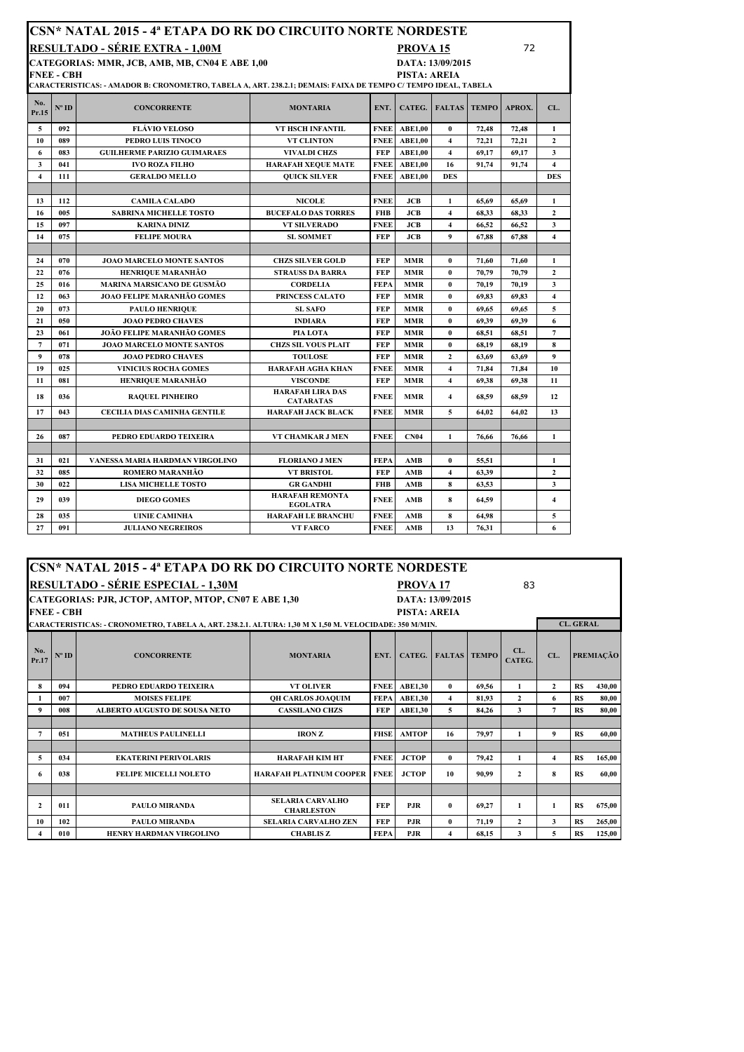| CSN* NATAL 2015 - 4ª ETAPA DO RK DO CIRCUITO NORTE NORDESTE                                                    |                |                                     |                                             |             |                  |                         |              |               |                         |
|----------------------------------------------------------------------------------------------------------------|----------------|-------------------------------------|---------------------------------------------|-------------|------------------|-------------------------|--------------|---------------|-------------------------|
| RESULTADO - SÉRIE EXTRA - 1,00M<br>72<br>PROVA <sub>15</sub>                                                   |                |                                     |                                             |             |                  |                         |              |               |                         |
| CATEGORIAS: MMR, JCB, AMB, MB, CN04 E ABE 1,00                                                                 |                |                                     |                                             |             | DATA: 13/09/2015 |                         |              |               |                         |
| FNEE - CBH                                                                                                     |                |                                     |                                             |             |                  | PISTA: AREIA            |              |               |                         |
| CARACTERISTICAS: - AMADOR B: CRONOMETRO, TABELA A, ART. 238.2.1; DEMAIS: FAIXA DE TEMPO C/ TEMPO IDEAL, TABELA |                |                                     |                                             |             |                  |                         |              |               |                         |
| No.<br>Pr.15                                                                                                   | $N^{\circ}$ ID | <b>CONCORRENTE</b>                  | <b>MONTARIA</b>                             | ENT.        | CATEG.           | <b>FALTAS</b>           | <b>TEMPO</b> | <b>APROX.</b> | CL.                     |
| 5                                                                                                              | 092            | <b>FLÁVIO VELOSO</b>                | VT HSCH INFANTIL                            | <b>FNEE</b> | <b>ABE1,00</b>   | $\bf{0}$                | 72,48        | 72,48         | 1                       |
| 10                                                                                                             | 089            | PEDRO LUIS TINOCO                   | <b>VT CLINTON</b>                           | <b>FNEE</b> | <b>ABE1,00</b>   | $\overline{\mathbf{4}}$ | 72,21        | 72,21         | $\mathbf{2}$            |
| 6                                                                                                              | 083            | <b>GUILHERME PARIZIO GUIMARAES</b>  | <b>VIVALDI CHZS</b>                         | <b>FEP</b>  | <b>ABE1.00</b>   | $\overline{\mathbf{4}}$ | 69.17        | 69.17         | 3                       |
| $\mathbf{3}$                                                                                                   | 041            | <b>IVO ROZA FILHO</b>               | <b>HARAFAH XEQUE MATE</b>                   | <b>FNEE</b> | <b>ABE1.00</b>   | 16                      | 91.74        | 91.74         | $\overline{\mathbf{4}}$ |
| $\overline{\mathbf{4}}$                                                                                        | 111            | <b>GERALDO MELLO</b>                | <b>QUICK SILVER</b>                         | <b>FNEE</b> | <b>ABE1,00</b>   | <b>DES</b>              |              |               | <b>DES</b>              |
|                                                                                                                |                |                                     |                                             |             |                  |                         |              |               |                         |
| 13                                                                                                             | 112            | <b>CAMILA CALADO</b>                | <b>NICOLE</b>                               | <b>FNEE</b> | JCB              | 1                       | 65,69        | 65,69         | 1                       |
| 16                                                                                                             | 005            | <b>SABRINA MICHELLE TOSTO</b>       | <b>BUCEFALO DAS TORRES</b>                  | <b>FHB</b>  | JCB              | $\overline{\mathbf{4}}$ | 68,33        | 68,33         | $\mathbf{2}$            |
| 15                                                                                                             | 097            | <b>KARINA DINIZ</b>                 | <b>VT SILVERADO</b>                         | <b>FNEE</b> | JCB              | $\overline{\mathbf{4}}$ | 66.52        | 66,52         | 3                       |
| 14                                                                                                             | 075            | <b>FELIPE MOURA</b>                 | <b>SL SOMMET</b>                            | <b>FEP</b>  | <b>JCB</b>       | $\boldsymbol{9}$        | 67.88        | 67.88         | $\overline{\mathbf{4}}$ |
|                                                                                                                |                |                                     |                                             |             |                  |                         |              |               |                         |
| 24                                                                                                             | 070            | <b>JOAO MARCELO MONTE SANTOS</b>    | <b>CHZS SILVER GOLD</b>                     | <b>FEP</b>  | <b>MMR</b>       | $\bf{0}$                | 71,60        | 71.60         | 1                       |
| 22                                                                                                             | 076            | HENRIQUE MARANHÃO                   | <b>STRAUSS DA BARRA</b>                     | <b>FEP</b>  | <b>MMR</b>       | $\bf{0}$                | 70.79        | 70,79         | $\mathbf{2}$            |
| 25                                                                                                             | 016            | <b>MARINA MARSICANO DE GUSMÃO</b>   | <b>CORDELIA</b>                             | <b>FEPA</b> | <b>MMR</b>       | $\mathbf{0}$            | 70.19        | 70.19         | 3                       |
| 12                                                                                                             | 063            | <b>JOAO FELIPE MARANHÃO GOMES</b>   | PRINCESS CALATO                             | <b>FEP</b>  | <b>MMR</b>       | $\mathbf{0}$            | 69.83        | 69.83         | $\overline{\mathbf{4}}$ |
| 20                                                                                                             | 073            | <b>PAULO HENRIQUE</b>               | <b>SL SAFO</b>                              | <b>FEP</b>  | <b>MMR</b>       | $\bf{0}$                | 69,65        | 69,65         | 5                       |
| 21                                                                                                             | 050            | <b>JOAO PEDRO CHAVES</b>            | <b>INDIARA</b>                              | <b>FEP</b>  | <b>MMR</b>       | $\mathbf{0}$            | 69.39        | 69.39         | 6                       |
| 23                                                                                                             | 061            | <b>JOÃO FELIPE MARANHÃO GOMES</b>   | PIA LOTA                                    | <b>FEP</b>  | <b>MMR</b>       | $\mathbf{0}$            | 68.51        | 68,51         | $\overline{7}$          |
| $\overline{7}$                                                                                                 | 071            | JOAO MARCELO MONTE SANTOS           | <b>CHZS SIL VOUS PLAIT</b>                  | <b>FEP</b>  | <b>MMR</b>       | $\bf{0}$                | 68,19        | 68,19         | 8                       |
| $\boldsymbol{9}$                                                                                               | 078            | <b>JOAO PEDRO CHAVES</b>            | <b>TOULOSE</b>                              | <b>FEP</b>  | <b>MMR</b>       | $\overline{2}$          | 63.69        | 63.69         | $\boldsymbol{9}$        |
| 19                                                                                                             | 025            | <b>VINICIUS ROCHA GOMES</b>         | <b>HARAFAH AGHA KHAN</b>                    | <b>FNEE</b> | <b>MMR</b>       | $\overline{\mathbf{4}}$ | 71.84        | 71,84         | 10                      |
| 11                                                                                                             | 081            | <b>HENRIQUE MARANHÃO</b>            | <b>VISCONDE</b>                             | FEP         | <b>MMR</b>       | $\overline{\mathbf{4}}$ | 69,38        | 69,38         | 11                      |
| 18                                                                                                             | 036            | <b>RAQUEL PINHEIRO</b>              | <b>HARAFAH LIRA DAS</b><br><b>CATARATAS</b> | <b>FNEE</b> | <b>MMR</b>       | $\overline{\mathbf{4}}$ | 68,59        | 68,59         | 12                      |
| 17                                                                                                             | 043            | <b>CECILIA DIAS CAMINHA GENTILE</b> | <b>HARAFAH JACK BLACK</b>                   | <b>FNEE</b> | <b>MMR</b>       | 5                       | 64.02        | 64.02         | 13                      |
|                                                                                                                |                |                                     |                                             |             |                  |                         |              |               |                         |
| 26                                                                                                             | 087            | PEDRO EDUARDO TEIXEIRA              | VT CHAMKAR J MEN                            | <b>FNEE</b> | <b>CN04</b>      | $\mathbf{1}$            | 76.66        | 76.66         | 1                       |
|                                                                                                                |                |                                     |                                             |             |                  |                         |              |               |                         |
| 31                                                                                                             | 021            | VANESSA MARIA HARDMAN VIRGOLINO     | <b>FLORIANO J MEN</b>                       | <b>FEPA</b> | AMB              | $\bf{0}$                | 55,51        |               | 1                       |
| 32                                                                                                             | 085            | ROMERO MARANHÃO                     | <b>VT BRISTOL</b>                           | <b>FEP</b>  | AMB              | 4                       | 63,39        |               | $\overline{2}$          |
| 30                                                                                                             | 022            | <b>LISA MICHELLE TOSTO</b>          | <b>GR GANDHI</b>                            | <b>FHB</b>  | AMB              | 8                       | 63,53        |               | 3                       |
| 29                                                                                                             | 039            | <b>DIEGO GOMES</b>                  | <b>HARAFAH REMONTA</b><br><b>EGOLATRA</b>   | <b>FNEE</b> | AMB              | 8                       | 64,59        |               | $\overline{\mathbf{4}}$ |
| 28                                                                                                             | 035            | <b>UINIE CAMINHA</b>                | <b>HARAFAH LE BRANCHU</b>                   | <b>FNEE</b> | AMB              | 8                       | 64,98        |               | 5                       |
| 27                                                                                                             | 091            | <b>JULIANO NEGREIROS</b>            | <b>VT FARCO</b>                             | <b>FNEE</b> | AMB              | 13                      | 76,31        |               | 6                       |
|                                                                                                                |                |                                     |                                             |             |                  |                         |              |               |                         |

## CSN\* NATAL 2015 - 4ª ETAPA DO RK DO CIRCUITO NORTE NORDESTE RESULTADO - SÉRIE ESPECIAL - 1,30M PROVA 17 83 CATEGORIAS: PJR, JCTOP, AMTOP, MTOP, CN07 E ABE 1,30 DATA: 13/09/2015<br>FNEE - CBH PISTA: AREIA PISTA: AREIA CARACTERISTICAS: - CRONOMETRO, TABELA A, ART. 238.2.1. ALTURA: 1,30 M X 1,50 M. VELOCIDADE: 350 M/MIN. No.<br>Pr.17 Pr.17 Nº ID CONCORRENTE MONTARIA ENT. CATEG. FALTAS TEMPO CL. CL. CATEG. CL. PREMIAÇÃO 8 094 PEDRO EDUARDO TEIXEIRA VT OLIVER FNEE ABE1,30 0 69,56 1 2 R\$ 430,00 1 007 MOISES FELIPE QH CARLOS JOAQUIM FEPA ABE1,30 4 81,93 2 6 R\$ 80,00<br>2 9 008 ALBERTO AUGUSTO DE SOUSA NETO CASSILANO CHZS FEPABE1.30 5 84.26 3 7 R\$ 80.00 9 008 ALBERTO AUGUSTO DE SOUSA NETO CASSILANO CHZS FEP ABE1,30 5 84,26 3 7 R\$ 80,00 7 051 MATHEUS PAULINELLI IRON Z FHSE AMTOP 16 79,97 1 9 R\$ 60,00 5 034 EKATERINI PERIVOLARIS HARAFAH KIM HT FNEE JCTOP 0 79,42 1 4 R\$ 165,00 6 038 FELIPE MICELLI NOLETO HARAFAH PLATINUM COOPER FNEE JCTOP 10 90,99 2 8 R\$ 60,00 2 011 PAULO MIRANDA SELARIA CARVALHO LARIA CARVALHO<br>CHARLESTON FEP PJR 0 69,27 1 1 R\$ 675,00 10 102 PAULO MIRANDA SELARIA CARVALHO ZEN FEP PJR 0 71,19 2 3 R\$ 265,00 4 010 HENRY HARDMAN VIRGOLINO CHABLISZ FEPA PJR 4 68,15 3 5 R\$ 125,00 CL. GERAL